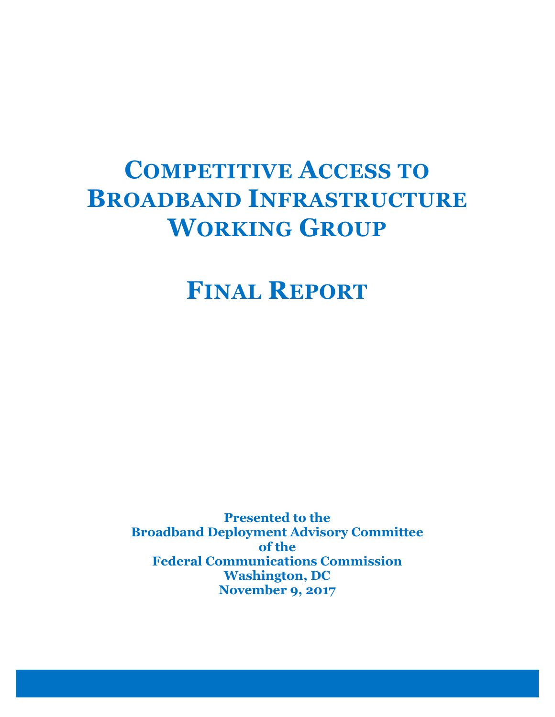# COMPETITIVE ACCESS TO BROADBAND INFRASTRUCTURE WORKING GROUP

FINAL REPORT

Presented to the Broadband Deployment Advisory Committee of the Federal Communications Commission Washington, DC November 9, 2017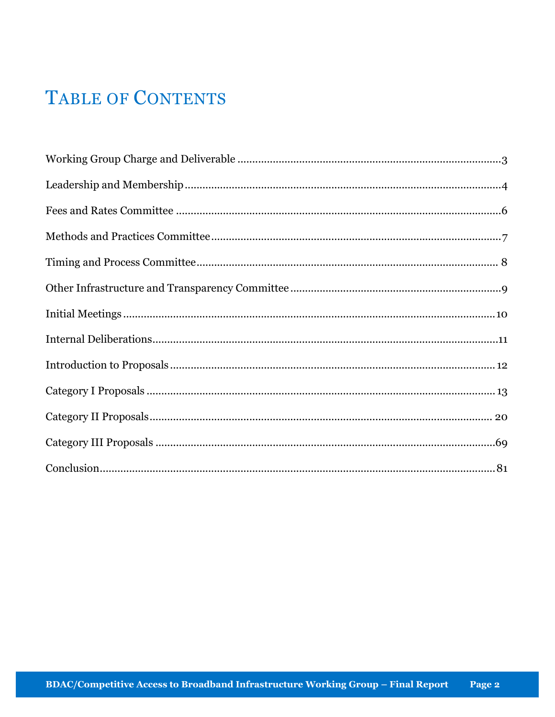## **TABLE OF CONTENTS**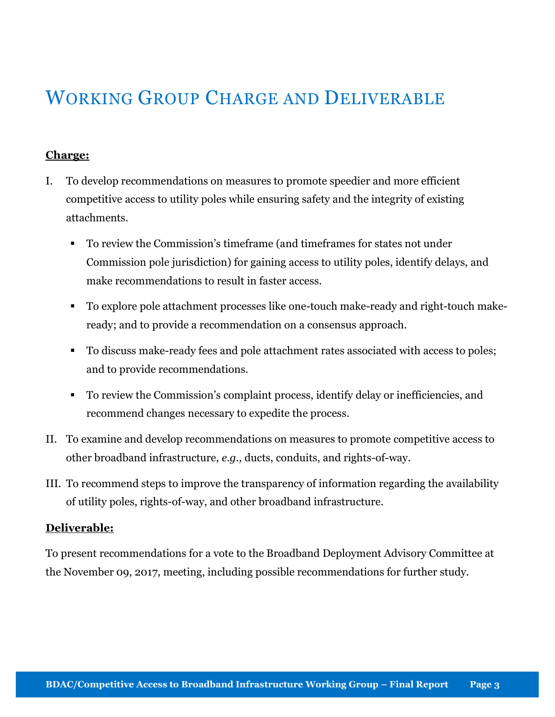## WORKING GROUP CHARGE AND DELIVERABLE

#### Charge:

- I. To develop recommendations on measures to promote speedier and more efficient competitive access to utility poles while ensuring safety and the integrity of existing attachments.
	- To review the Commission's timeframe (and timeframes for states not under Commission pole jurisdiction) for gaining access to utility poles, identify delays, and make recommendations to result in faster access.
	- To explore pole attachment processes like one-touch make-ready and right-touch makeready; and to provide a recommendation on a consensus approach.
	- To discuss make-ready fees and pole attachment rates associated with access to poles; and to provide recommendations.
	- To review the Commission's complaint process, identify delay or inefficiencies, and recommend changes necessary to expedite the process.
- II. To examine and develop recommendations on measures to promote competitive access to other broadband infrastructure, e.g., ducts, conduits, and rights-of-way.
- III. To recommend steps to improve the transparency of information regarding the availability of utility poles, rights-of-way, and other broadband infrastructure.

#### Deliverable:

To present recommendations for a vote to the Broadband Deployment Advisory Committee at the November 09, 2017, meeting, including possible recommendations for further study.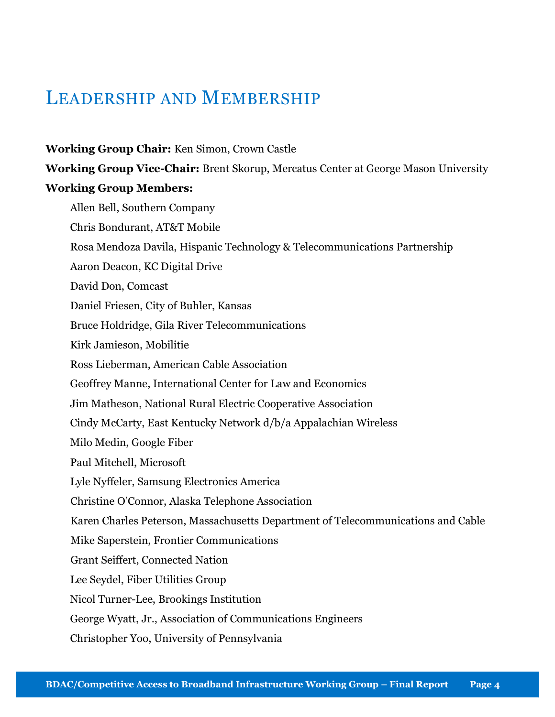## LEADERSHIP AND MEMBERSHIP

#### Working Group Chair: Ken Simon, Crown Castle

Working Group Vice-Chair: Brent Skorup, Mercatus Center at George Mason University

#### Working Group Members:

Allen Bell, Southern Company Chris Bondurant, AT&T Mobile Rosa Mendoza Davila, Hispanic Technology & Telecommunications Partnership Aaron Deacon, KC Digital Drive David Don, Comcast Daniel Friesen, City of Buhler, Kansas Bruce Holdridge, Gila River Telecommunications Kirk Jamieson, Mobilitie Ross Lieberman, American Cable Association Geoffrey Manne, International Center for Law and Economics Jim Matheson, National Rural Electric Cooperative Association Cindy McCarty, East Kentucky Network d/b/a Appalachian Wireless Milo Medin, Google Fiber Paul Mitchell, Microsoft Lyle Nyffeler, Samsung Electronics America Christine O'Connor, Alaska Telephone Association Karen Charles Peterson, Massachusetts Department of Telecommunications and Cable Mike Saperstein, Frontier Communications Grant Seiffert, Connected Nation Lee Seydel, Fiber Utilities Group Nicol Turner-Lee, Brookings Institution George Wyatt, Jr., Association of Communications Engineers Christopher Yoo, University of Pennsylvania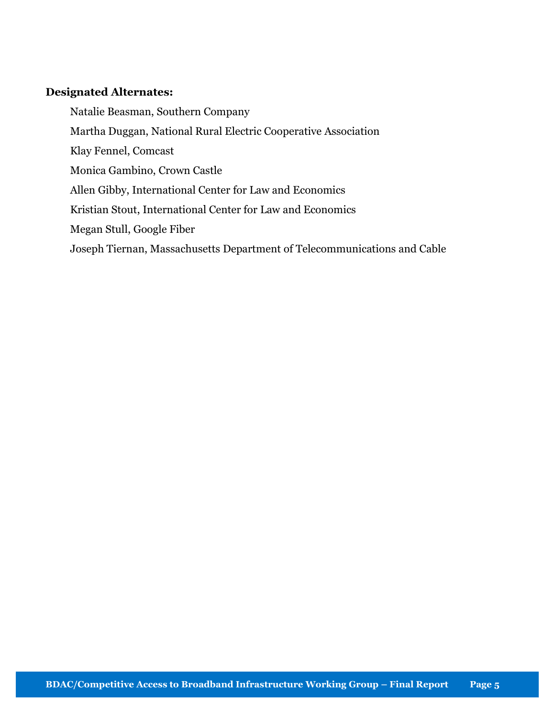#### Designated Alternates:

Natalie Beasman, Southern Company Martha Duggan, National Rural Electric Cooperative Association Klay Fennel, Comcast Monica Gambino, Crown Castle Allen Gibby, International Center for Law and Economics Kristian Stout, International Center for Law and Economics Megan Stull, Google Fiber Joseph Tiernan, Massachusetts Department of Telecommunications and Cable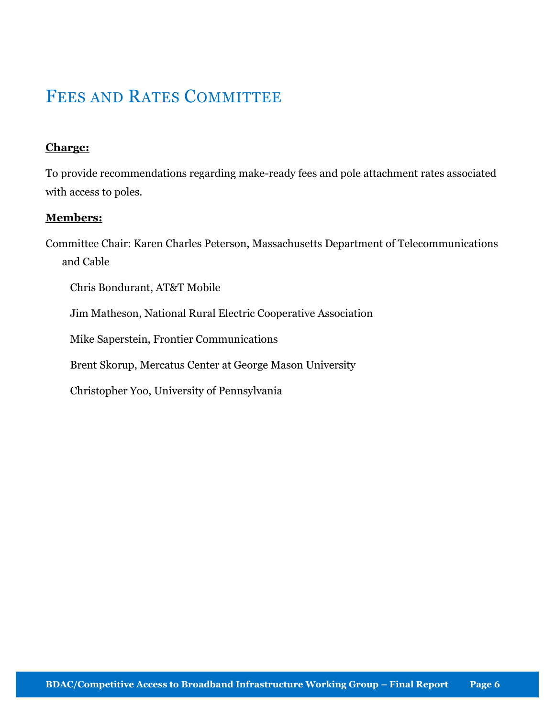## FEES AND RATES COMMITTEE

#### Charge:

To provide recommendations regarding make-ready fees and pole attachment rates associated with access to poles.

#### Members:

Committee Chair: Karen Charles Peterson, Massachusetts Department of Telecommunications and Cable

Chris Bondurant, AT&T Mobile

Jim Matheson, National Rural Electric Cooperative Association

Mike Saperstein, Frontier Communications

Brent Skorup, Mercatus Center at George Mason University

Christopher Yoo, University of Pennsylvania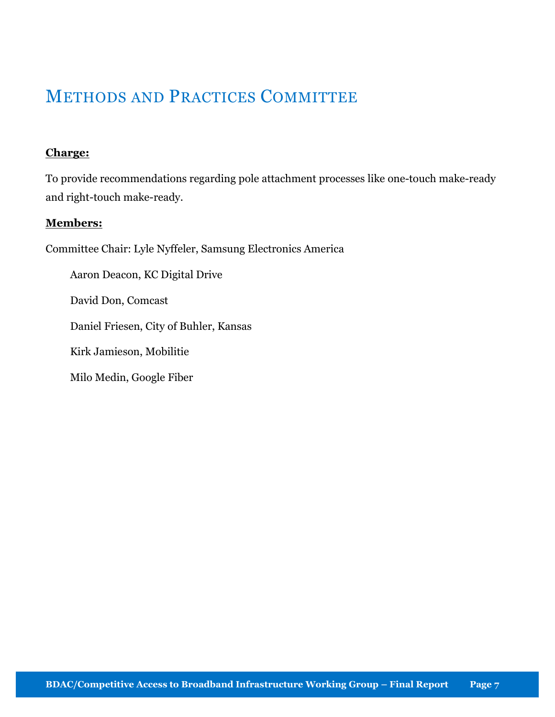### METHODS AND PRACTICES COMMITTEE

#### Charge:

To provide recommendations regarding pole attachment processes like one-touch make-ready and right-touch make-ready.

#### Members:

Committee Chair: Lyle Nyffeler, Samsung Electronics America

Aaron Deacon, KC Digital Drive

David Don, Comcast

Daniel Friesen, City of Buhler, Kansas

Kirk Jamieson, Mobilitie

Milo Medin, Google Fiber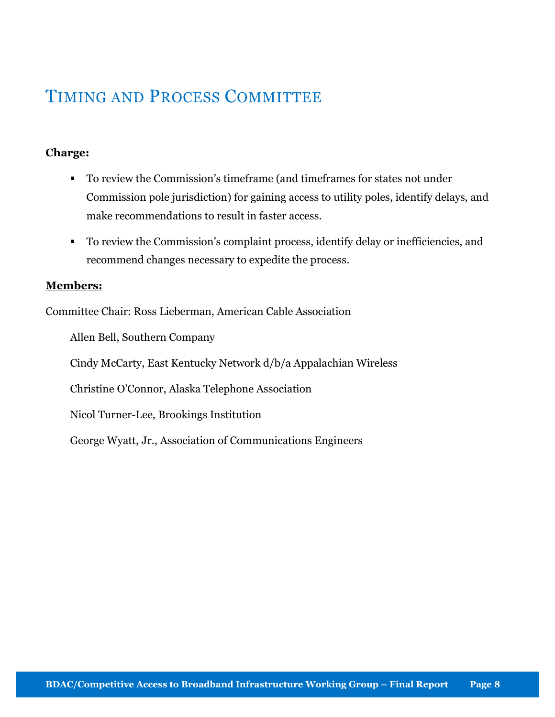## TIMING AND PROCESS COMMITTEE

#### Charge:

- To review the Commission's timeframe (and timeframes for states not under Commission pole jurisdiction) for gaining access to utility poles, identify delays, and make recommendations to result in faster access.
- To review the Commission's complaint process, identify delay or inefficiencies, and recommend changes necessary to expedite the process.

#### Members:

Committee Chair: Ross Lieberman, American Cable Association

Allen Bell, Southern Company Cindy McCarty, East Kentucky Network d/b/a Appalachian Wireless Christine O'Connor, Alaska Telephone Association Nicol Turner-Lee, Brookings Institution George Wyatt, Jr., Association of Communications Engineers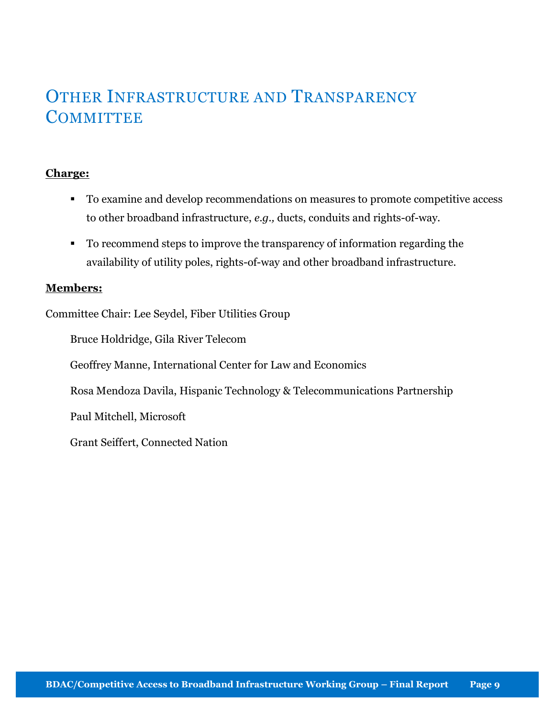## OTHER INFRASTRUCTURE AND TRANSPARENCY **COMMITTEE**

#### Charge:

- To examine and develop recommendations on measures to promote competitive access to other broadband infrastructure, e.g., ducts, conduits and rights-of-way.
- To recommend steps to improve the transparency of information regarding the availability of utility poles, rights-of-way and other broadband infrastructure.

#### Members:

Committee Chair: Lee Seydel, Fiber Utilities Group

Bruce Holdridge, Gila River Telecom

Geoffrey Manne, International Center for Law and Economics

Rosa Mendoza Davila, Hispanic Technology & Telecommunications Partnership

Paul Mitchell, Microsoft

Grant Seiffert, Connected Nation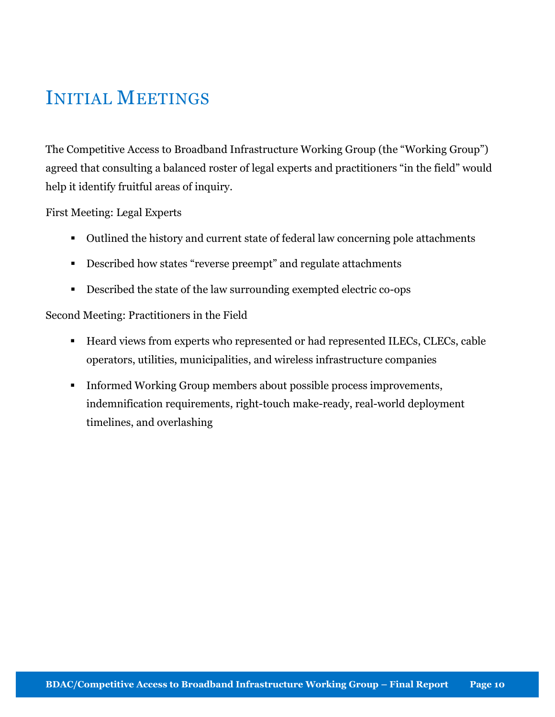## INITIAL MEETINGS

The Competitive Access to Broadband Infrastructure Working Group (the "Working Group") agreed that consulting a balanced roster of legal experts and practitioners "in the field" would help it identify fruitful areas of inquiry.

First Meeting: Legal Experts

- Outlined the history and current state of federal law concerning pole attachments
- Described how states "reverse preempt" and regulate attachments
- Described the state of the law surrounding exempted electric co-ops

#### Second Meeting: Practitioners in the Field

- Heard views from experts who represented or had represented ILECs, CLECs, cable operators, utilities, municipalities, and wireless infrastructure companies
- Informed Working Group members about possible process improvements, indemnification requirements, right-touch make-ready, real-world deployment timelines, and overlashing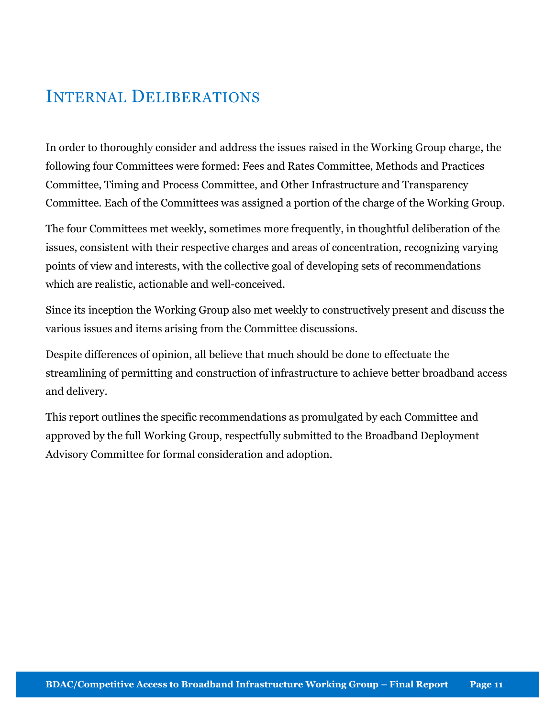## INTERNAL DELIBERATIONS

In order to thoroughly consider and address the issues raised in the Working Group charge, the following four Committees were formed: Fees and Rates Committee, Methods and Practices Committee, Timing and Process Committee, and Other Infrastructure and Transparency Committee. Each of the Committees was assigned a portion of the charge of the Working Group.

The four Committees met weekly, sometimes more frequently, in thoughtful deliberation of the issues, consistent with their respective charges and areas of concentration, recognizing varying points of view and interests, with the collective goal of developing sets of recommendations which are realistic, actionable and well-conceived.

Since its inception the Working Group also met weekly to constructively present and discuss the various issues and items arising from the Committee discussions.

Despite differences of opinion, all believe that much should be done to effectuate the streamlining of permitting and construction of infrastructure to achieve better broadband access and delivery.

This report outlines the specific recommendations as promulgated by each Committee and approved by the full Working Group, respectfully submitted to the Broadband Deployment Advisory Committee for formal consideration and adoption.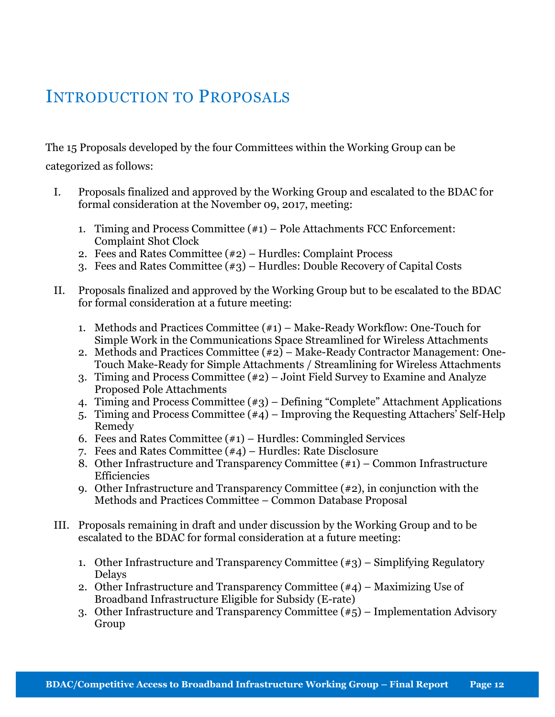## INTRODUCTION TO PROPOSALS

The 15 Proposals developed by the four Committees within the Working Group can be categorized as follows:

- I. Proposals finalized and approved by the Working Group and escalated to the BDAC for formal consideration at the November 09, 2017, meeting:
	- 1. Timing and Process Committee (#1) Pole Attachments FCC Enforcement: Complaint Shot Clock
	- 2. Fees and Rates Committee (#2) Hurdles: Complaint Process
	- 3. Fees and Rates Committee (#3) Hurdles: Double Recovery of Capital Costs
- II. Proposals finalized and approved by the Working Group but to be escalated to the BDAC for formal consideration at a future meeting:
	- 1. Methods and Practices Committee (#1) Make-Ready Workflow: One-Touch for Simple Work in the Communications Space Streamlined for Wireless Attachments
	- 2. Methods and Practices Committee (#2) Make-Ready Contractor Management: One-Touch Make-Ready for Simple Attachments / Streamlining for Wireless Attachments
	- 3. Timing and Process Committee (#2) Joint Field Survey to Examine and Analyze Proposed Pole Attachments
	- 4. Timing and Process Committee (#3) Defining "Complete" Attachment Applications
	- 5. Timing and Process Committee (#4) Improving the Requesting Attachers' Self-Help Remedy
	- 6. Fees and Rates Committee  $(\#1)$  Hurdles: Commingled Services
	- 7. Fees and Rates Committee (#4) Hurdles: Rate Disclosure
	- 8. Other Infrastructure and Transparency Committee (#1) Common Infrastructure Efficiencies
	- 9. Other Infrastructure and Transparency Committee (#2), in conjunction with the Methods and Practices Committee – Common Database Proposal
- III. Proposals remaining in draft and under discussion by the Working Group and to be escalated to the BDAC for formal consideration at a future meeting:
	- 1. Other Infrastructure and Transparency Committee (#3) Simplifying Regulatory Delays
	- 2. Other Infrastructure and Transparency Committee (#4) Maximizing Use of Broadband Infrastructure Eligible for Subsidy (E-rate)
	- 3. Other Infrastructure and Transparency Committee (#5) Implementation Advisory Group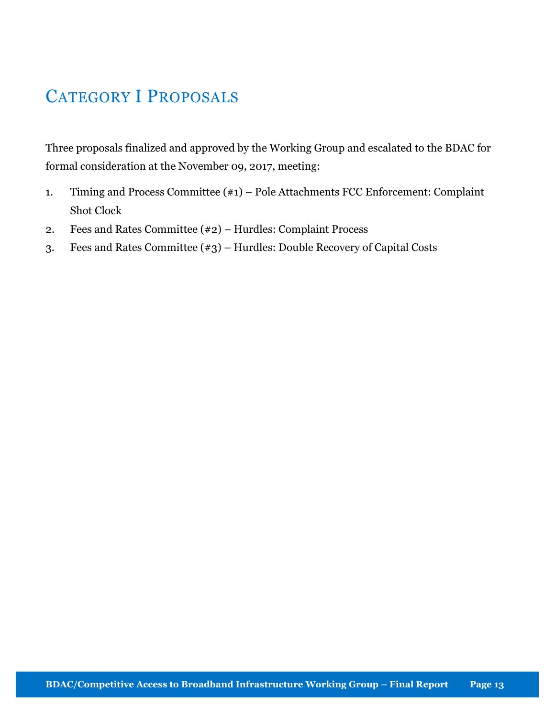## CATEGORY I PROPOSALS

Three proposals finalized and approved by the Working Group and escalated to the BDAC for formal consideration at the November 09, 2017, meeting:

- 1. Timing and Process Committee (#1) Pole Attachments FCC Enforcement: Complaint Shot Clock
- 2. Fees and Rates Committee (#2) Hurdles: Complaint Process
- 3. Fees and Rates Committee (#3) Hurdles: Double Recovery of Capital Costs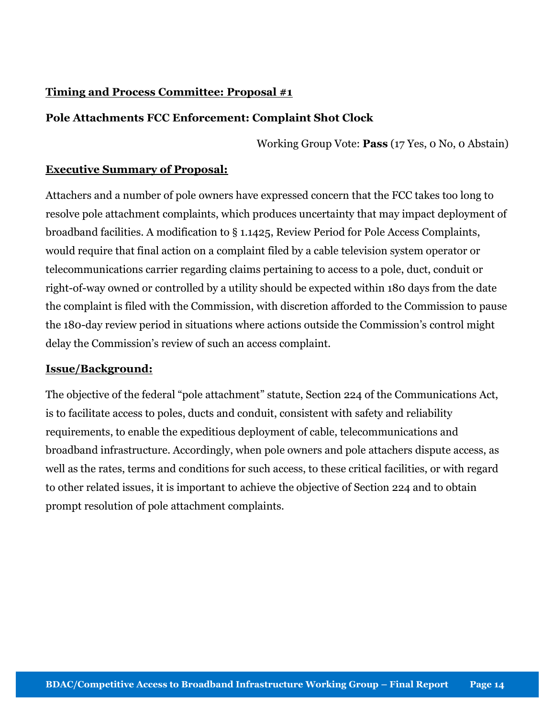#### Timing and Process Committee: Proposal #1

#### Pole Attachments FCC Enforcement: Complaint Shot Clock

Working Group Vote: Pass (17 Yes, 0 No, 0 Abstain)

#### Executive Summary of Proposal:

Attachers and a number of pole owners have expressed concern that the FCC takes too long to resolve pole attachment complaints, which produces uncertainty that may impact deployment of broadband facilities. A modification to § 1.1425, Review Period for Pole Access Complaints, would require that final action on a complaint filed by a cable television system operator or telecommunications carrier regarding claims pertaining to access to a pole, duct, conduit or right-of-way owned or controlled by a utility should be expected within 180 days from the date the complaint is filed with the Commission, with discretion afforded to the Commission to pause the 180-day review period in situations where actions outside the Commission's control might delay the Commission's review of such an access complaint.

#### Issue/Background:

The objective of the federal "pole attachment" statute, Section 224 of the Communications Act, is to facilitate access to poles, ducts and conduit, consistent with safety and reliability requirements, to enable the expeditious deployment of cable, telecommunications and broadband infrastructure. Accordingly, when pole owners and pole attachers dispute access, as well as the rates, terms and conditions for such access, to these critical facilities, or with regard to other related issues, it is important to achieve the objective of Section 224 and to obtain prompt resolution of pole attachment complaints.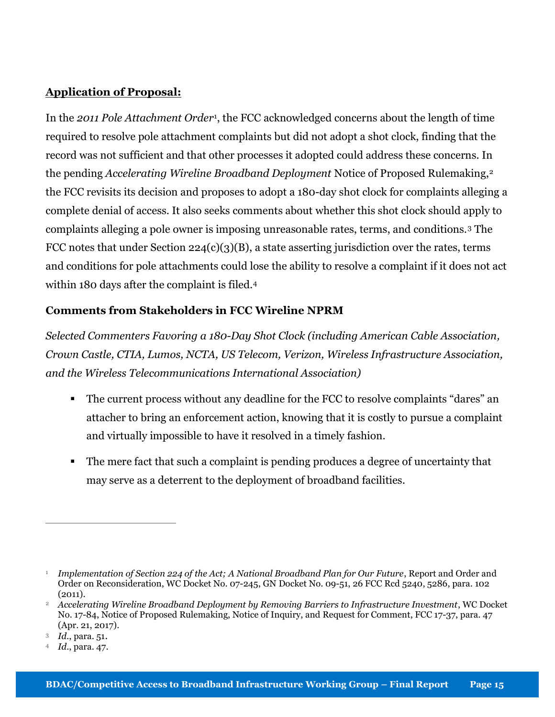#### Application of Proposal:

In the 2011 Pole Attachment Order<sup>1</sup>, the FCC acknowledged concerns about the length of time required to resolve pole attachment complaints but did not adopt a shot clock, finding that the record was not sufficient and that other processes it adopted could address these concerns. In the pending Accelerating Wireline Broadband Deployment Notice of Proposed Rulemaking,<sup>2</sup> the FCC revisits its decision and proposes to adopt a 180-day shot clock for complaints alleging a complete denial of access. It also seeks comments about whether this shot clock should apply to complaints alleging a pole owner is imposing unreasonable rates, terms, and conditions.3 The FCC notes that under Section 224(c)(3)(B), a state asserting jurisdiction over the rates, terms and conditions for pole attachments could lose the ability to resolve a complaint if it does not act within 180 days after the complaint is filed.<sup>4</sup>

#### Comments from Stakeholders in FCC Wireline NPRM

Selected Commenters Favoring a 180-Day Shot Clock (including American Cable Association, Crown Castle, CTIA, Lumos, NCTA, US Telecom, Verizon, Wireless Infrastructure Association, and the Wireless Telecommunications International Association)

- The current process without any deadline for the FCC to resolve complaints "dares" an attacher to bring an enforcement action, knowing that it is costly to pursue a complaint and virtually impossible to have it resolved in a timely fashion.
- The mere fact that such a complaint is pending produces a degree of uncertainty that may serve as a deterrent to the deployment of broadband facilities.

 $\overline{a}$ 

 $^{\rm _1}$  Implementation of Section 224 of the Act; A National Broadband Plan for Our Future, Report and Order and Order on Reconsideration, WC Docket No. 07-245, GN Docket No. 09-51, 26 FCC Rcd 5240, 5286, para. 102  $(2011).$ 

<sup>&</sup>lt;sup>2</sup> Accelerating Wireline Broadband Deployment by Removing Barriers to Infrastructure Investment, WC Docket No. 17-84, Notice of Proposed Rulemaking, Notice of Inquiry, and Request for Comment, FCC 17-37, para. 47 (Apr. 21, 2017).

<sup>3</sup> Id., para. 51.

<sup>4</sup> Id., para. 47.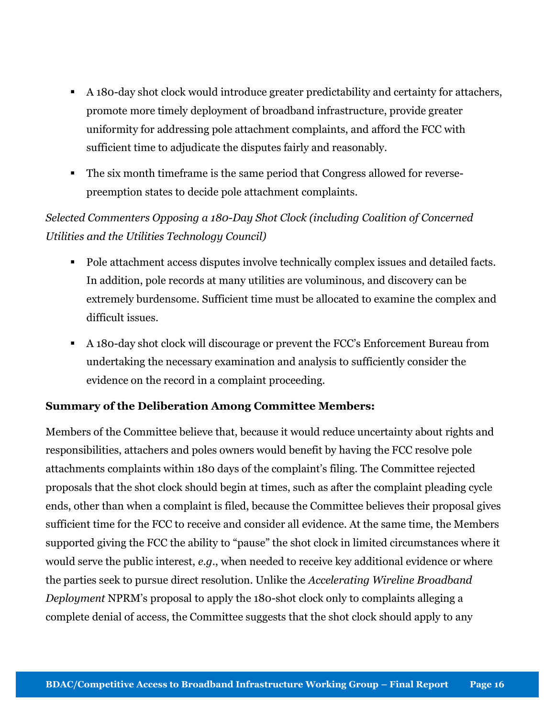- A 180-day shot clock would introduce greater predictability and certainty for attachers, promote more timely deployment of broadband infrastructure, provide greater uniformity for addressing pole attachment complaints, and afford the FCC with sufficient time to adjudicate the disputes fairly and reasonably.
- The six month timeframe is the same period that Congress allowed for reversepreemption states to decide pole attachment complaints.

#### Selected Commenters Opposing a 180-Day Shot Clock (including Coalition of Concerned Utilities and the Utilities Technology Council)

- Pole attachment access disputes involve technically complex issues and detailed facts. In addition, pole records at many utilities are voluminous, and discovery can be extremely burdensome. Sufficient time must be allocated to examine the complex and difficult issues.
- A 180-day shot clock will discourage or prevent the FCC's Enforcement Bureau from undertaking the necessary examination and analysis to sufficiently consider the evidence on the record in a complaint proceeding.

#### Summary of the Deliberation Among Committee Members:

Members of the Committee believe that, because it would reduce uncertainty about rights and responsibilities, attachers and poles owners would benefit by having the FCC resolve pole attachments complaints within 180 days of the complaint's filing. The Committee rejected proposals that the shot clock should begin at times, such as after the complaint pleading cycle ends, other than when a complaint is filed, because the Committee believes their proposal gives sufficient time for the FCC to receive and consider all evidence. At the same time, the Members supported giving the FCC the ability to "pause" the shot clock in limited circumstances where it would serve the public interest, e.g., when needed to receive key additional evidence or where the parties seek to pursue direct resolution. Unlike the Accelerating Wireline Broadband Deployment NPRM's proposal to apply the 180-shot clock only to complaints alleging a complete denial of access, the Committee suggests that the shot clock should apply to any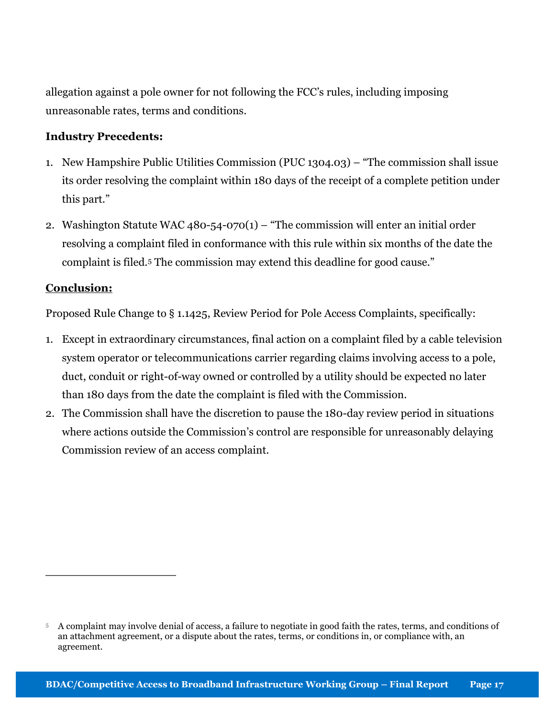allegation against a pole owner for not following the FCC's rules, including imposing unreasonable rates, terms and conditions.

#### Industry Precedents:

- 1. New Hampshire Public Utilities Commission (PUC 1304.03) "The commission shall issue its order resolving the complaint within 180 days of the receipt of a complete petition under this part."
- 2. Washington Statute WAC 480-54-070(1) "The commission will enter an initial order resolving a complaint filed in conformance with this rule within six months of the date the complaint is filed.5 The commission may extend this deadline for good cause."

#### Conclusion:

 $\overline{a}$ 

Proposed Rule Change to § 1.1425, Review Period for Pole Access Complaints, specifically:

- 1. Except in extraordinary circumstances, final action on a complaint filed by a cable television system operator or telecommunications carrier regarding claims involving access to a pole, duct, conduit or right-of-way owned or controlled by a utility should be expected no later than 180 days from the date the complaint is filed with the Commission.
- 2. The Commission shall have the discretion to pause the 180-day review period in situations where actions outside the Commission's control are responsible for unreasonably delaying Commission review of an access complaint.

<sup>5</sup> A complaint may involve denial of access, a failure to negotiate in good faith the rates, terms, and conditions of an attachment agreement, or a dispute about the rates, terms, or conditions in, or compliance with, an agreement.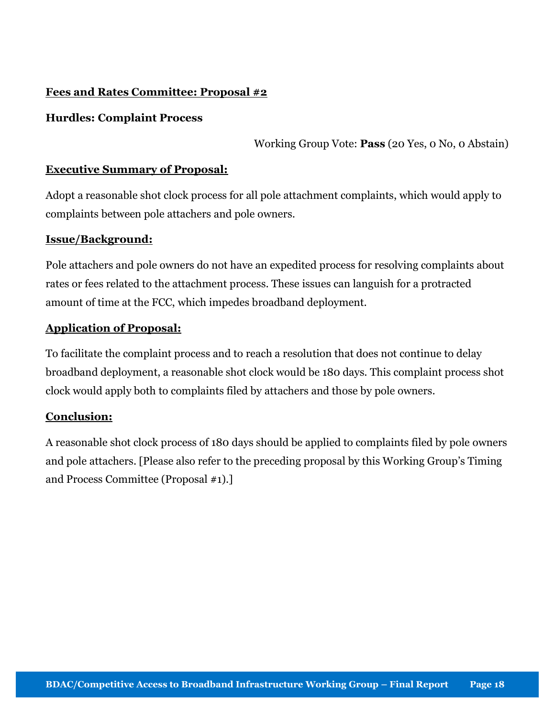#### Fees and Rates Committee: Proposal #2

#### Hurdles: Complaint Process

Working Group Vote: Pass (20 Yes, 0 No, 0 Abstain)

#### Executive Summary of Proposal:

Adopt a reasonable shot clock process for all pole attachment complaints, which would apply to complaints between pole attachers and pole owners.

#### Issue/Background:

Pole attachers and pole owners do not have an expedited process for resolving complaints about rates or fees related to the attachment process. These issues can languish for a protracted amount of time at the FCC, which impedes broadband deployment.

#### Application of Proposal:

To facilitate the complaint process and to reach a resolution that does not continue to delay broadband deployment, a reasonable shot clock would be 180 days. This complaint process shot clock would apply both to complaints filed by attachers and those by pole owners.

#### Conclusion:

A reasonable shot clock process of 180 days should be applied to complaints filed by pole owners and pole attachers. [Please also refer to the preceding proposal by this Working Group's Timing and Process Committee (Proposal #1).]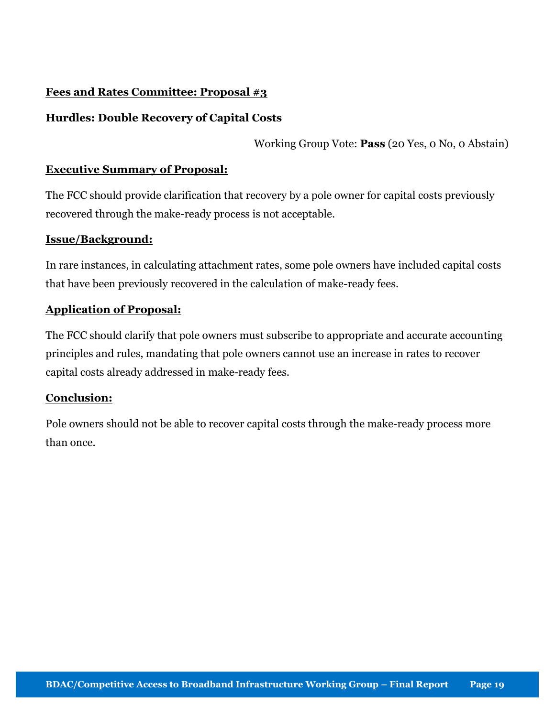#### Fees and Rates Committee: Proposal #3

#### Hurdles: Double Recovery of Capital Costs

Working Group Vote: Pass (20 Yes, 0 No, 0 Abstain)

#### Executive Summary of Proposal:

The FCC should provide clarification that recovery by a pole owner for capital costs previously recovered through the make-ready process is not acceptable.

#### Issue/Background:

In rare instances, in calculating attachment rates, some pole owners have included capital costs that have been previously recovered in the calculation of make-ready fees.

#### Application of Proposal:

The FCC should clarify that pole owners must subscribe to appropriate and accurate accounting principles and rules, mandating that pole owners cannot use an increase in rates to recover capital costs already addressed in make-ready fees.

#### Conclusion:

Pole owners should not be able to recover capital costs through the make-ready process more than once.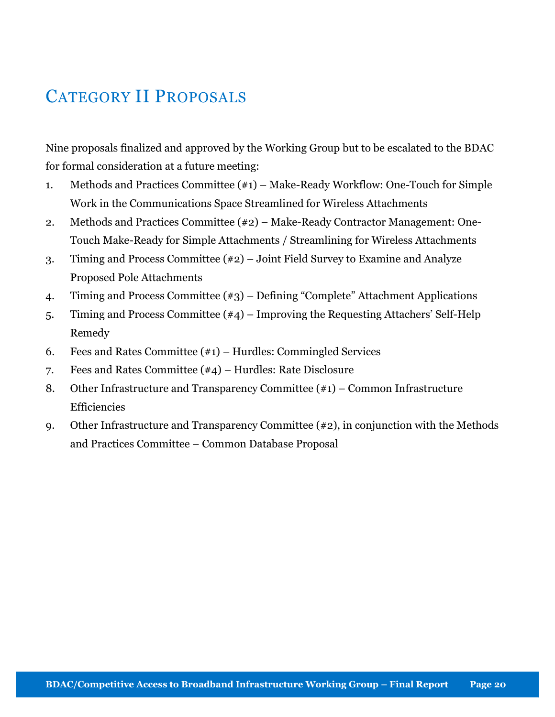## CATEGORY II PROPOSALS

Nine proposals finalized and approved by the Working Group but to be escalated to the BDAC for formal consideration at a future meeting:

- 1. Methods and Practices Committee (#1) Make-Ready Workflow: One-Touch for Simple Work in the Communications Space Streamlined for Wireless Attachments
- 2. Methods and Practices Committee (#2) Make-Ready Contractor Management: One-Touch Make-Ready for Simple Attachments / Streamlining for Wireless Attachments
- 3. Timing and Process Committee (#2) Joint Field Survey to Examine and Analyze Proposed Pole Attachments
- 4. Timing and Process Committee (#3) Defining "Complete" Attachment Applications
- 5. Timing and Process Committee (#4) Improving the Requesting Attachers' Self-Help Remedy
- 6. Fees and Rates Committee  $(\#1)$  Hurdles: Commingled Services
- 7. Fees and Rates Committee (#4) Hurdles: Rate Disclosure
- 8. Other Infrastructure and Transparency Committee (#1) Common Infrastructure Efficiencies
- 9. Other Infrastructure and Transparency Committee (#2), in conjunction with the Methods and Practices Committee – Common Database Proposal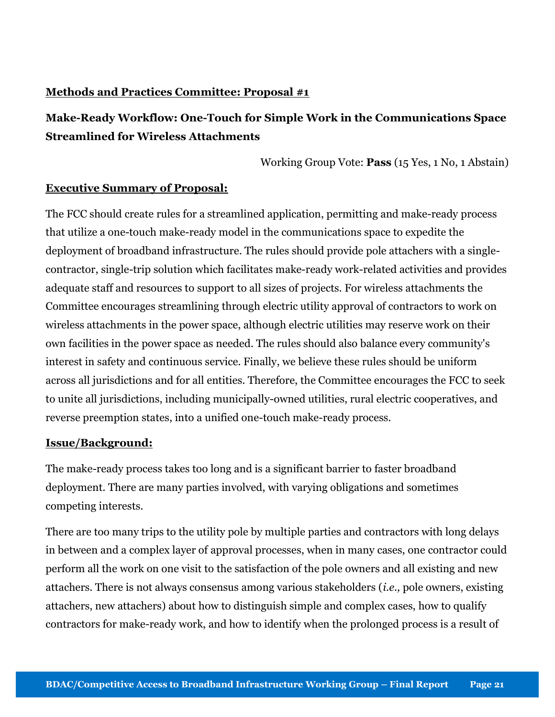#### Methods and Practices Committee: Proposal #1

#### Make-Ready Workflow: One-Touch for Simple Work in the Communications Space Streamlined for Wireless Attachments

Working Group Vote: Pass (15 Yes, 1 No, 1 Abstain)

#### Executive Summary of Proposal:

The FCC should create rules for a streamlined application, permitting and make-ready process that utilize a one-touch make-ready model in the communications space to expedite the deployment of broadband infrastructure. The rules should provide pole attachers with a singlecontractor, single-trip solution which facilitates make-ready work-related activities and provides adequate staff and resources to support to all sizes of projects. For wireless attachments the Committee encourages streamlining through electric utility approval of contractors to work on wireless attachments in the power space, although electric utilities may reserve work on their own facilities in the power space as needed. The rules should also balance every community's interest in safety and continuous service. Finally, we believe these rules should be uniform across all jurisdictions and for all entities. Therefore, the Committee encourages the FCC to seek to unite all jurisdictions, including municipally-owned utilities, rural electric cooperatives, and reverse preemption states, into a unified one-touch make-ready process.

#### Issue/Background:

The make-ready process takes too long and is a significant barrier to faster broadband deployment. There are many parties involved, with varying obligations and sometimes competing interests.

There are too many trips to the utility pole by multiple parties and contractors with long delays in between and a complex layer of approval processes, when in many cases, one contractor could perform all the work on one visit to the satisfaction of the pole owners and all existing and new attachers. There is not always consensus among various stakeholders (i.e., pole owners, existing attachers, new attachers) about how to distinguish simple and complex cases, how to qualify contractors for make-ready work, and how to identify when the prolonged process is a result of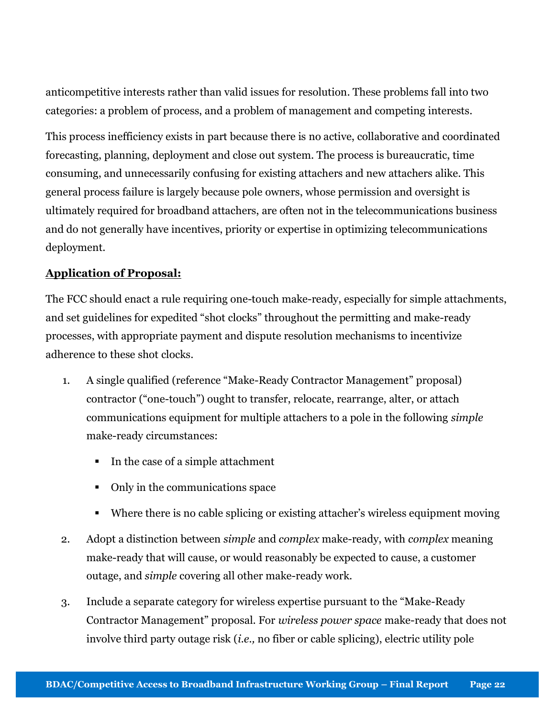anticompetitive interests rather than valid issues for resolution. These problems fall into two categories: a problem of process, and a problem of management and competing interests.

This process inefficiency exists in part because there is no active, collaborative and coordinated forecasting, planning, deployment and close out system. The process is bureaucratic, time consuming, and unnecessarily confusing for existing attachers and new attachers alike. This general process failure is largely because pole owners, whose permission and oversight is ultimately required for broadband attachers, are often not in the telecommunications business and do not generally have incentives, priority or expertise in optimizing telecommunications deployment.

#### Application of Proposal:

The FCC should enact a rule requiring one-touch make-ready, especially for simple attachments, and set guidelines for expedited "shot clocks" throughout the permitting and make-ready processes, with appropriate payment and dispute resolution mechanisms to incentivize adherence to these shot clocks.

- 1. A single qualified (reference "Make-Ready Contractor Management" proposal) contractor ("one-touch") ought to transfer, relocate, rearrange, alter, or attach communications equipment for multiple attachers to a pole in the following simple make-ready circumstances:
	- In the case of a simple attachment
	- Only in the communications space
	- Where there is no cable splicing or existing attacher's wireless equipment moving
- 2. Adopt a distinction between *simple* and *complex* make-ready, with *complex* meaning make-ready that will cause, or would reasonably be expected to cause, a customer outage, and simple covering all other make-ready work.
- 3. Include a separate category for wireless expertise pursuant to the "Make-Ready Contractor Management" proposal. For wireless power space make-ready that does not involve third party outage risk (i.e., no fiber or cable splicing), electric utility pole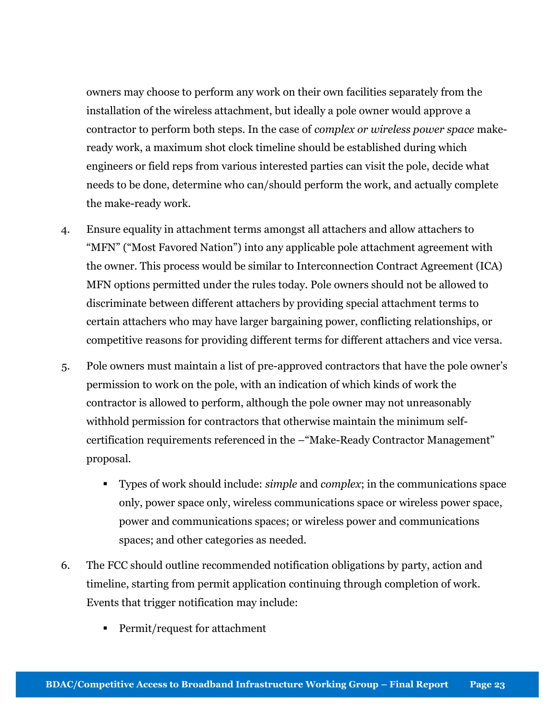owners may choose to perform any work on their own facilities separately from the installation of the wireless attachment, but ideally a pole owner would approve a contractor to perform both steps. In the case of complex or wireless power space makeready work, a maximum shot clock timeline should be established during which engineers or field reps from various interested parties can visit the pole, decide what needs to be done, determine who can/should perform the work, and actually complete the make-ready work.

- 4. Ensure equality in attachment terms amongst all attachers and allow attachers to "MFN" ("Most Favored Nation") into any applicable pole attachment agreement with the owner. This process would be similar to Interconnection Contract Agreement (ICA) MFN options permitted under the rules today. Pole owners should not be allowed to discriminate between different attachers by providing special attachment terms to certain attachers who may have larger bargaining power, conflicting relationships, or competitive reasons for providing different terms for different attachers and vice versa.
- 5. Pole owners must maintain a list of pre-approved contractors that have the pole owner's permission to work on the pole, with an indication of which kinds of work the contractor is allowed to perform, although the pole owner may not unreasonably withhold permission for contractors that otherwise maintain the minimum selfcertification requirements referenced in the –"Make-Ready Contractor Management" proposal.
	- Types of work should include: simple and complex; in the communications space only, power space only, wireless communications space or wireless power space, power and communications spaces; or wireless power and communications spaces; and other categories as needed.
- 6. The FCC should outline recommended notification obligations by party, action and timeline, starting from permit application continuing through completion of work. Events that trigger notification may include:
	- Permit/request for attachment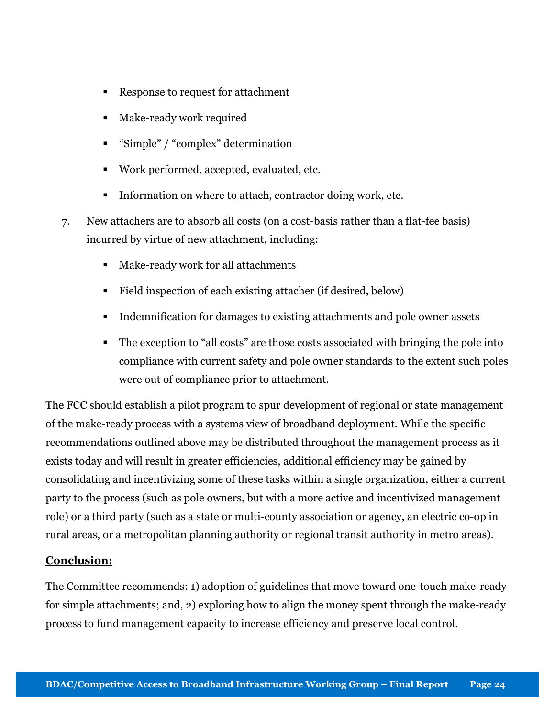- Response to request for attachment
- Make-ready work required
- "Simple" / "complex" determination
- Work performed, accepted, evaluated, etc.
- Information on where to attach, contractor doing work, etc.
- 7. New attachers are to absorb all costs (on a cost-basis rather than a flat-fee basis) incurred by virtue of new attachment, including:
	- Make-ready work for all attachments
	- Field inspection of each existing attacher (if desired, below)
	- Indemnification for damages to existing attachments and pole owner assets
	- The exception to "all costs" are those costs associated with bringing the pole into compliance with current safety and pole owner standards to the extent such poles were out of compliance prior to attachment.

The FCC should establish a pilot program to spur development of regional or state management of the make-ready process with a systems view of broadband deployment. While the specific recommendations outlined above may be distributed throughout the management process as it exists today and will result in greater efficiencies, additional efficiency may be gained by consolidating and incentivizing some of these tasks within a single organization, either a current party to the process (such as pole owners, but with a more active and incentivized management role) or a third party (such as a state or multi-county association or agency, an electric co-op in rural areas, or a metropolitan planning authority or regional transit authority in metro areas).

#### Conclusion:

The Committee recommends: 1) adoption of guidelines that move toward one-touch make-ready for simple attachments; and, 2) exploring how to align the money spent through the make-ready process to fund management capacity to increase efficiency and preserve local control.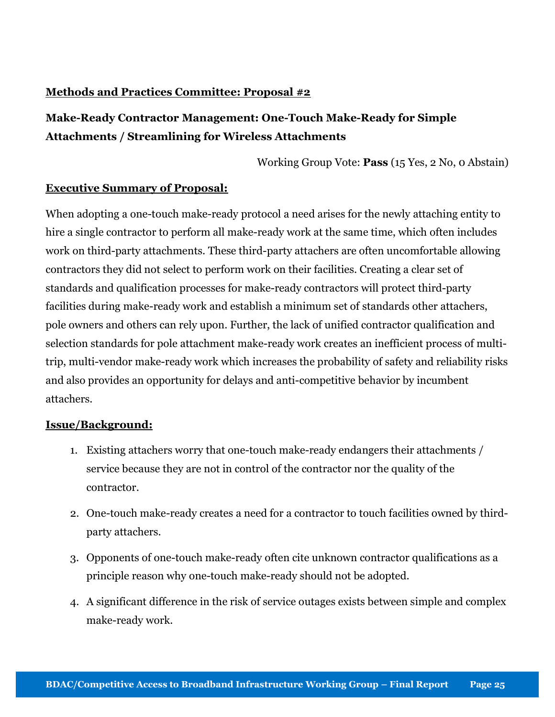#### Methods and Practices Committee: Proposal #2

#### Make-Ready Contractor Management: One-Touch Make-Ready for Simple Attachments / Streamlining for Wireless Attachments

Working Group Vote: Pass (15 Yes, 2 No, 0 Abstain)

#### Executive Summary of Proposal:

When adopting a one-touch make-ready protocol a need arises for the newly attaching entity to hire a single contractor to perform all make-ready work at the same time, which often includes work on third-party attachments. These third-party attachers are often uncomfortable allowing contractors they did not select to perform work on their facilities. Creating a clear set of standards and qualification processes for make-ready contractors will protect third-party facilities during make-ready work and establish a minimum set of standards other attachers, pole owners and others can rely upon. Further, the lack of unified contractor qualification and selection standards for pole attachment make-ready work creates an inefficient process of multitrip, multi-vendor make-ready work which increases the probability of safety and reliability risks and also provides an opportunity for delays and anti-competitive behavior by incumbent attachers.

#### Issue/Background:

- 1. Existing attachers worry that one-touch make-ready endangers their attachments / service because they are not in control of the contractor nor the quality of the contractor.
- 2. One-touch make-ready creates a need for a contractor to touch facilities owned by thirdparty attachers.
- 3. Opponents of one-touch make-ready often cite unknown contractor qualifications as a principle reason why one-touch make-ready should not be adopted.
- 4. A significant difference in the risk of service outages exists between simple and complex make-ready work.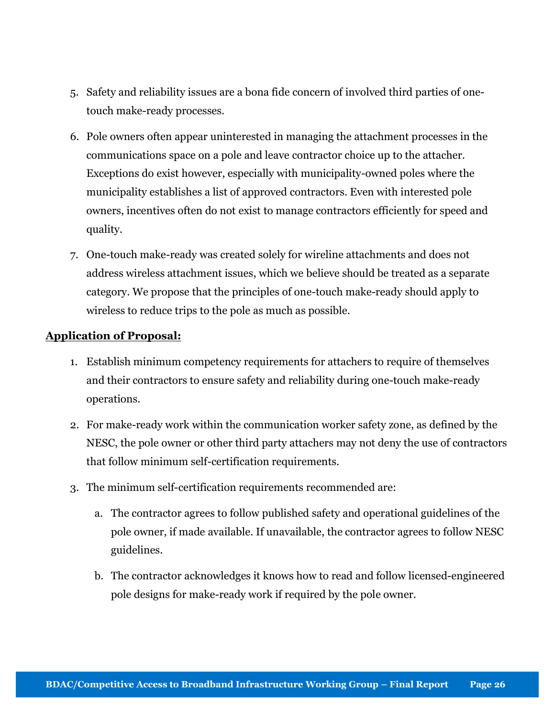- 5. Safety and reliability issues are a bona fide concern of involved third parties of onetouch make-ready processes.
- 6. Pole owners often appear uninterested in managing the attachment processes in the communications space on a pole and leave contractor choice up to the attacher. Exceptions do exist however, especially with municipality-owned poles where the municipality establishes a list of approved contractors. Even with interested pole owners, incentives often do not exist to manage contractors efficiently for speed and quality.
- 7. One-touch make-ready was created solely for wireline attachments and does not address wireless attachment issues, which we believe should be treated as a separate category. We propose that the principles of one-touch make-ready should apply to wireless to reduce trips to the pole as much as possible.

#### Application of Proposal:

- 1. Establish minimum competency requirements for attachers to require of themselves and their contractors to ensure safety and reliability during one-touch make-ready operations.
- 2. For make-ready work within the communication worker safety zone, as defined by the NESC, the pole owner or other third party attachers may not deny the use of contractors that follow minimum self-certification requirements.
- 3. The minimum self-certification requirements recommended are:
	- a. The contractor agrees to follow published safety and operational guidelines of the pole owner, if made available. If unavailable, the contractor agrees to follow NESC guidelines.
	- b. The contractor acknowledges it knows how to read and follow licensed-engineered pole designs for make-ready work if required by the pole owner.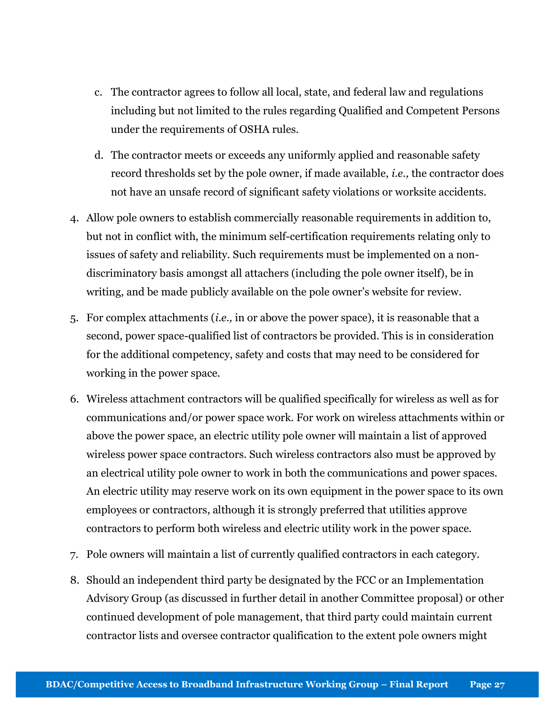- c. The contractor agrees to follow all local, state, and federal law and regulations including but not limited to the rules regarding Qualified and Competent Persons under the requirements of OSHA rules.
- d. The contractor meets or exceeds any uniformly applied and reasonable safety record thresholds set by the pole owner, if made available, i.e., the contractor does not have an unsafe record of significant safety violations or worksite accidents.
- 4. Allow pole owners to establish commercially reasonable requirements in addition to, but not in conflict with, the minimum self-certification requirements relating only to issues of safety and reliability. Such requirements must be implemented on a nondiscriminatory basis amongst all attachers (including the pole owner itself), be in writing, and be made publicly available on the pole owner's website for review.
- 5. For complex attachments (i.e., in or above the power space), it is reasonable that a second, power space-qualified list of contractors be provided. This is in consideration for the additional competency, safety and costs that may need to be considered for working in the power space.
- 6. Wireless attachment contractors will be qualified specifically for wireless as well as for communications and/or power space work. For work on wireless attachments within or above the power space, an electric utility pole owner will maintain a list of approved wireless power space contractors. Such wireless contractors also must be approved by an electrical utility pole owner to work in both the communications and power spaces. An electric utility may reserve work on its own equipment in the power space to its own employees or contractors, although it is strongly preferred that utilities approve contractors to perform both wireless and electric utility work in the power space.
- 7. Pole owners will maintain a list of currently qualified contractors in each category.
- 8. Should an independent third party be designated by the FCC or an Implementation Advisory Group (as discussed in further detail in another Committee proposal) or other continued development of pole management, that third party could maintain current contractor lists and oversee contractor qualification to the extent pole owners might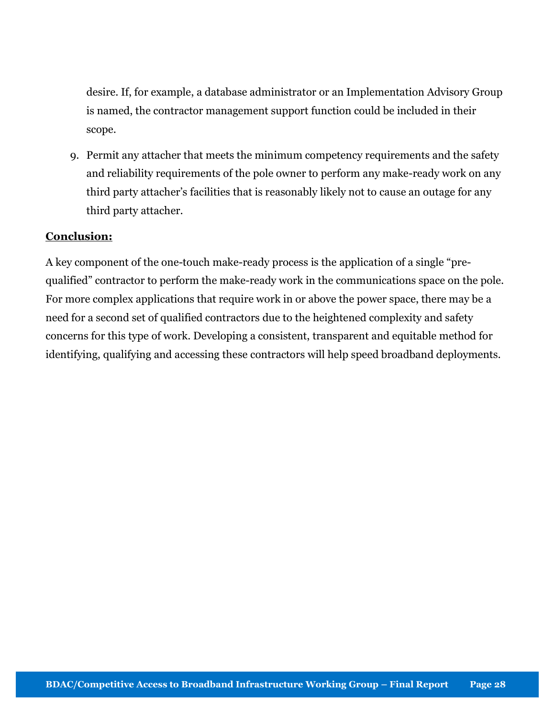desire. If, for example, a database administrator or an Implementation Advisory Group is named, the contractor management support function could be included in their scope.

9. Permit any attacher that meets the minimum competency requirements and the safety and reliability requirements of the pole owner to perform any make-ready work on any third party attacher's facilities that is reasonably likely not to cause an outage for any third party attacher.

#### Conclusion:

A key component of the one-touch make-ready process is the application of a single "prequalified" contractor to perform the make-ready work in the communications space on the pole. For more complex applications that require work in or above the power space, there may be a need for a second set of qualified contractors due to the heightened complexity and safety concerns for this type of work. Developing a consistent, transparent and equitable method for identifying, qualifying and accessing these contractors will help speed broadband deployments.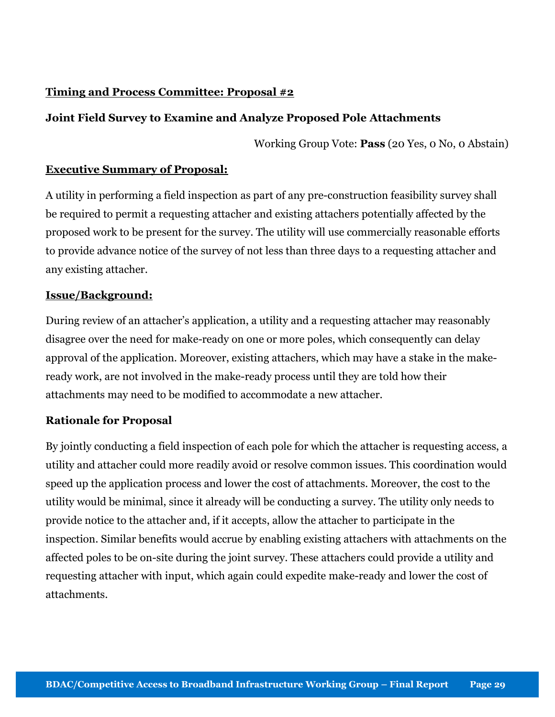#### Timing and Process Committee: Proposal #2

#### Joint Field Survey to Examine and Analyze Proposed Pole Attachments

Working Group Vote: Pass (20 Yes, 0 No, 0 Abstain)

#### Executive Summary of Proposal:

A utility in performing a field inspection as part of any pre-construction feasibility survey shall be required to permit a requesting attacher and existing attachers potentially affected by the proposed work to be present for the survey. The utility will use commercially reasonable efforts to provide advance notice of the survey of not less than three days to a requesting attacher and any existing attacher.

#### Issue/Background:

During review of an attacher's application, a utility and a requesting attacher may reasonably disagree over the need for make-ready on one or more poles, which consequently can delay approval of the application. Moreover, existing attachers, which may have a stake in the makeready work, are not involved in the make-ready process until they are told how their attachments may need to be modified to accommodate a new attacher.

#### Rationale for Proposal

By jointly conducting a field inspection of each pole for which the attacher is requesting access, a utility and attacher could more readily avoid or resolve common issues. This coordination would speed up the application process and lower the cost of attachments. Moreover, the cost to the utility would be minimal, since it already will be conducting a survey. The utility only needs to provide notice to the attacher and, if it accepts, allow the attacher to participate in the inspection. Similar benefits would accrue by enabling existing attachers with attachments on the affected poles to be on-site during the joint survey. These attachers could provide a utility and requesting attacher with input, which again could expedite make-ready and lower the cost of attachments.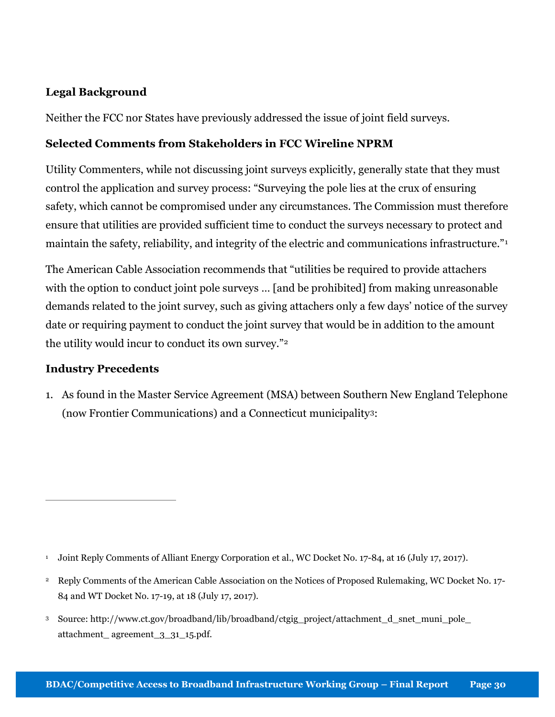#### Legal Background

Neither the FCC nor States have previously addressed the issue of joint field surveys.

#### Selected Comments from Stakeholders in FCC Wireline NPRM

Utility Commenters, while not discussing joint surveys explicitly, generally state that they must control the application and survey process: "Surveying the pole lies at the crux of ensuring safety, which cannot be compromised under any circumstances. The Commission must therefore ensure that utilities are provided sufficient time to conduct the surveys necessary to protect and maintain the safety, reliability, and integrity of the electric and communications infrastructure."<sup>1</sup>

The American Cable Association recommends that "utilities be required to provide attachers with the option to conduct joint pole surveys ... [and be prohibited] from making unreasonable demands related to the joint survey, such as giving attachers only a few days' notice of the survey date or requiring payment to conduct the joint survey that would be in addition to the amount the utility would incur to conduct its own survey."<sup>2</sup>

#### Industry Precedents

 $\overline{a}$ 

1. As found in the Master Service Agreement (MSA) between Southern New England Telephone (now Frontier Communications) and a Connecticut municipality3:

<sup>3</sup> Source: http://www.ct.gov/broadband/lib/broadband/ctgig\_project/attachment\_d\_snet\_muni\_pole\_ attachment\_ agreement\_3\_31\_15.pdf.

<sup>1</sup> Joint Reply Comments of Alliant Energy Corporation et al., WC Docket No. 17-84, at 16 (July 17, 2017).

<sup>&</sup>lt;sup>2</sup> Reply Comments of the American Cable Association on the Notices of Proposed Rulemaking, WC Docket No. 17-84 and WT Docket No. 17-19, at 18 (July 17, 2017).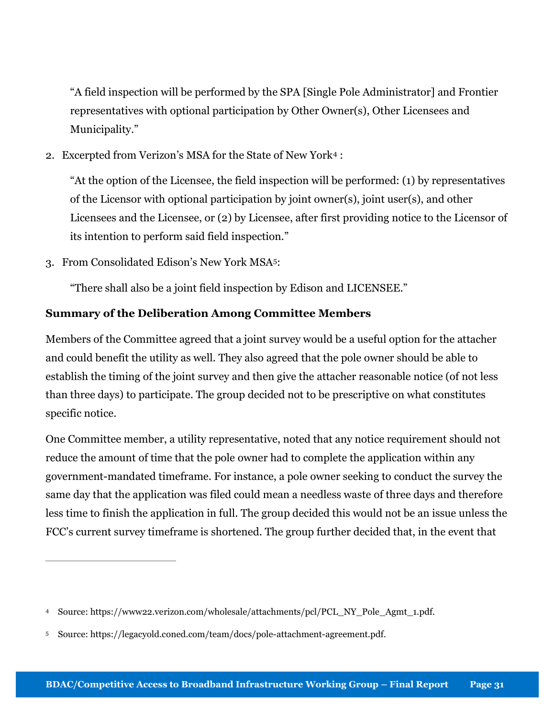"A field inspection will be performed by the SPA [Single Pole Administrator] and Frontier representatives with optional participation by Other Owner(s), Other Licensees and Municipality."

2. Excerpted from Verizon's MSA for the State of New York4 :

"At the option of the Licensee, the field inspection will be performed: (1) by representatives of the Licensor with optional participation by joint owner(s), joint user(s), and other Licensees and the Licensee, or (2) by Licensee, after first providing notice to the Licensor of its intention to perform said field inspection."

3. From Consolidated Edison's New York MSA5:

 $\overline{a}$ 

"There shall also be a joint field inspection by Edison and LICENSEE."

#### Summary of the Deliberation Among Committee Members

Members of the Committee agreed that a joint survey would be a useful option for the attacher and could benefit the utility as well. They also agreed that the pole owner should be able to establish the timing of the joint survey and then give the attacher reasonable notice (of not less than three days) to participate. The group decided not to be prescriptive on what constitutes specific notice.

One Committee member, a utility representative, noted that any notice requirement should not reduce the amount of time that the pole owner had to complete the application within any government-mandated timeframe. For instance, a pole owner seeking to conduct the survey the same day that the application was filed could mean a needless waste of three days and therefore less time to finish the application in full. The group decided this would not be an issue unless the FCC's current survey timeframe is shortened. The group further decided that, in the event that

<sup>4</sup> Source: https://www22.verizon.com/wholesale/attachments/pcl/PCL\_NY\_Pole\_Agmt\_1.pdf.

<sup>5</sup> Source: https://legacyold.coned.com/team/docs/pole-attachment-agreement.pdf.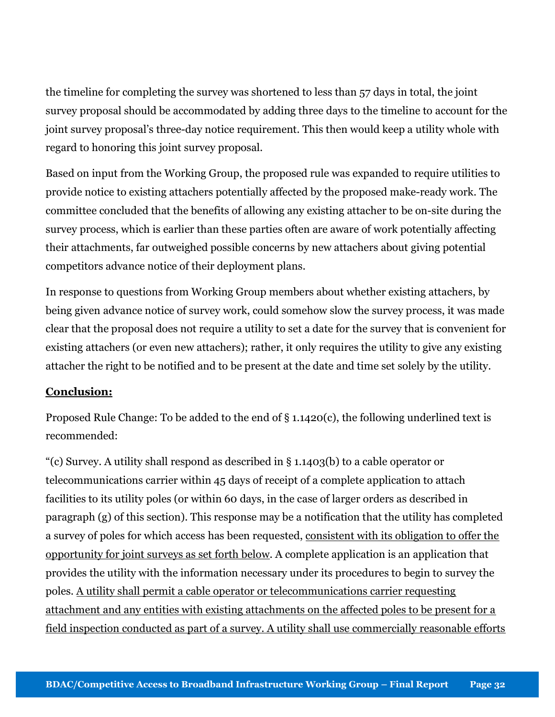the timeline for completing the survey was shortened to less than 57 days in total, the joint survey proposal should be accommodated by adding three days to the timeline to account for the joint survey proposal's three-day notice requirement. This then would keep a utility whole with regard to honoring this joint survey proposal.

Based on input from the Working Group, the proposed rule was expanded to require utilities to provide notice to existing attachers potentially affected by the proposed make-ready work. The committee concluded that the benefits of allowing any existing attacher to be on-site during the survey process, which is earlier than these parties often are aware of work potentially affecting their attachments, far outweighed possible concerns by new attachers about giving potential competitors advance notice of their deployment plans.

In response to questions from Working Group members about whether existing attachers, by being given advance notice of survey work, could somehow slow the survey process, it was made clear that the proposal does not require a utility to set a date for the survey that is convenient for existing attachers (or even new attachers); rather, it only requires the utility to give any existing attacher the right to be notified and to be present at the date and time set solely by the utility.

#### Conclusion:

Proposed Rule Change: To be added to the end of § 1.1420(c), the following underlined text is recommended:

"(c) Survey. A utility shall respond as described in § 1.1403(b) to a cable operator or telecommunications carrier within 45 days of receipt of a complete application to attach facilities to its utility poles (or within 60 days, in the case of larger orders as described in paragraph (g) of this section). This response may be a notification that the utility has completed a survey of poles for which access has been requested, consistent with its obligation to offer the opportunity for joint surveys as set forth below. A complete application is an application that provides the utility with the information necessary under its procedures to begin to survey the poles. A utility shall permit a cable operator or telecommunications carrier requesting attachment and any entities with existing attachments on the affected poles to be present for a field inspection conducted as part of a survey. A utility shall use commercially reasonable efforts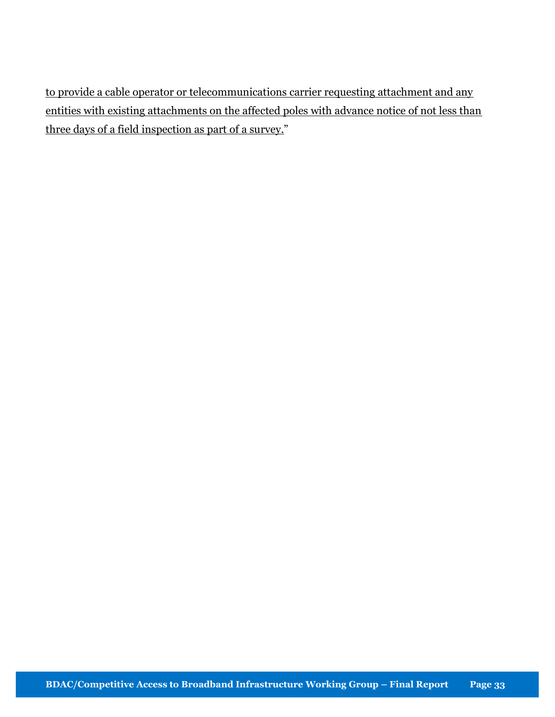to provide a cable operator or telecommunications carrier requesting attachment and any entities with existing attachments on the affected poles with advance notice of not less than three days of a field inspection as part of a survey."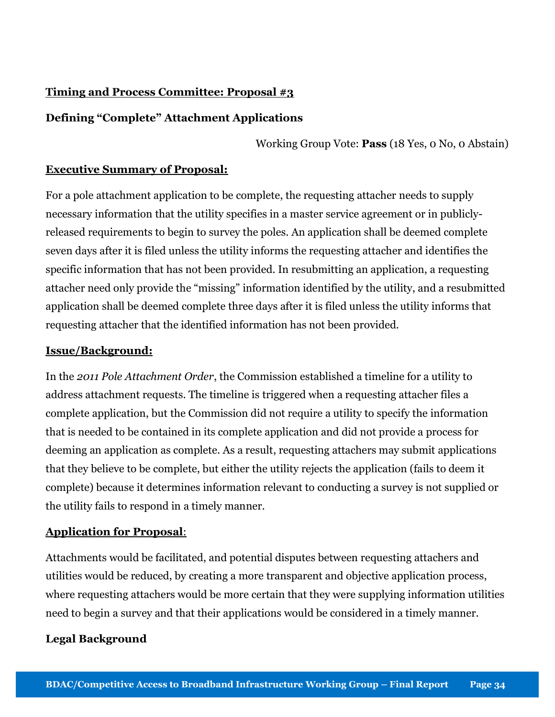#### Timing and Process Committee: Proposal #3

#### Defining "Complete" Attachment Applications

Working Group Vote: Pass (18 Yes, 0 No, 0 Abstain)

#### Executive Summary of Proposal:

For a pole attachment application to be complete, the requesting attacher needs to supply necessary information that the utility specifies in a master service agreement or in publiclyreleased requirements to begin to survey the poles. An application shall be deemed complete seven days after it is filed unless the utility informs the requesting attacher and identifies the specific information that has not been provided. In resubmitting an application, a requesting attacher need only provide the "missing" information identified by the utility, and a resubmitted application shall be deemed complete three days after it is filed unless the utility informs that requesting attacher that the identified information has not been provided.

#### Issue/Background:

In the 2011 Pole Attachment Order, the Commission established a timeline for a utility to address attachment requests. The timeline is triggered when a requesting attacher files a complete application, but the Commission did not require a utility to specify the information that is needed to be contained in its complete application and did not provide a process for deeming an application as complete. As a result, requesting attachers may submit applications that they believe to be complete, but either the utility rejects the application (fails to deem it complete) because it determines information relevant to conducting a survey is not supplied or the utility fails to respond in a timely manner.

#### Application for Proposal:

Attachments would be facilitated, and potential disputes between requesting attachers and utilities would be reduced, by creating a more transparent and objective application process, where requesting attachers would be more certain that they were supplying information utilities need to begin a survey and that their applications would be considered in a timely manner.

#### Legal Background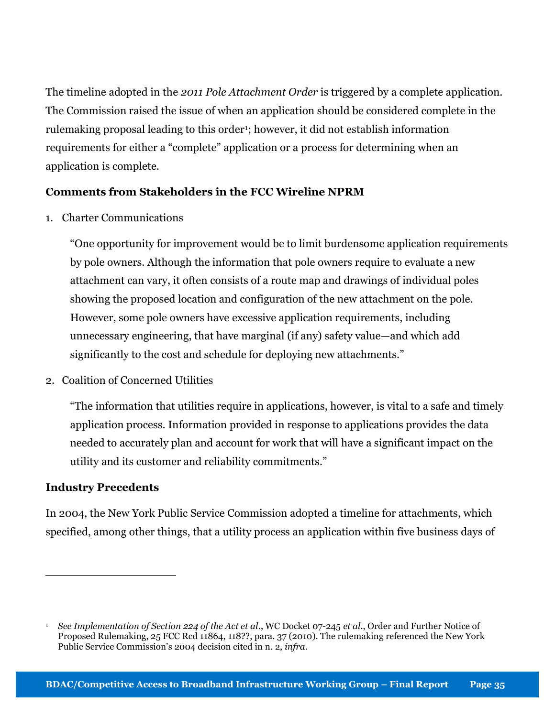The timeline adopted in the 2011 Pole Attachment Order is triggered by a complete application. The Commission raised the issue of when an application should be considered complete in the rulemaking proposal leading to this order<sup>1</sup>; however, it did not establish information requirements for either a "complete" application or a process for determining when an application is complete.

#### Comments from Stakeholders in the FCC Wireline NPRM

1. Charter Communications

"One opportunity for improvement would be to limit burdensome application requirements by pole owners. Although the information that pole owners require to evaluate a new attachment can vary, it often consists of a route map and drawings of individual poles showing the proposed location and configuration of the new attachment on the pole. However, some pole owners have excessive application requirements, including unnecessary engineering, that have marginal (if any) safety value—and which add significantly to the cost and schedule for deploying new attachments."

2. Coalition of Concerned Utilities

"The information that utilities require in applications, however, is vital to a safe and timely application process. Information provided in response to applications provides the data needed to accurately plan and account for work that will have a significant impact on the utility and its customer and reliability commitments."

#### Industry Precedents

 $\overline{a}$ 

In 2004, the New York Public Service Commission adopted a timeline for attachments, which specified, among other things, that a utility process an application within five business days of

<sup>1</sup> See Implementation of Section 224 of the Act et al., WC Docket 07-245 et al., Order and Further Notice of Proposed Rulemaking, 25 FCC Rcd 11864, 118??, para. 37 (2010). The rulemaking referenced the New York Public Service Commission's 2004 decision cited in n. 2, infra.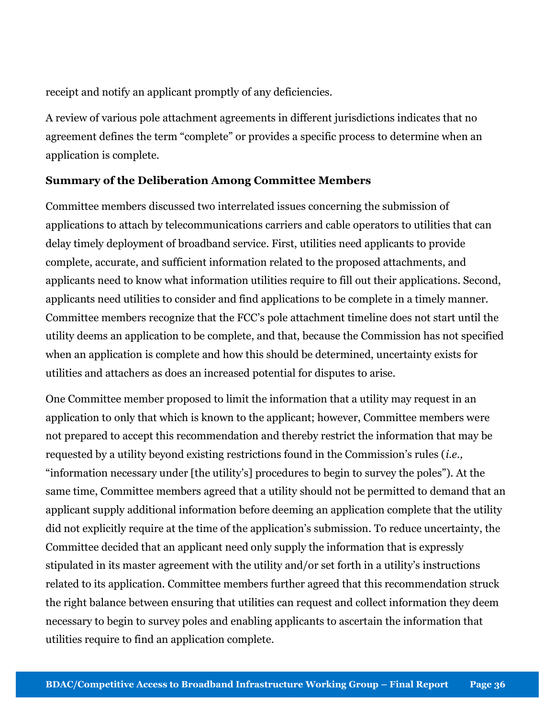receipt and notify an applicant promptly of any deficiencies.

A review of various pole attachment agreements in different jurisdictions indicates that no agreement defines the term "complete" or provides a specific process to determine when an application is complete.

#### Summary of the Deliberation Among Committee Members

Committee members discussed two interrelated issues concerning the submission of applications to attach by telecommunications carriers and cable operators to utilities that can delay timely deployment of broadband service. First, utilities need applicants to provide complete, accurate, and sufficient information related to the proposed attachments, and applicants need to know what information utilities require to fill out their applications. Second, applicants need utilities to consider and find applications to be complete in a timely manner. Committee members recognize that the FCC's pole attachment timeline does not start until the utility deems an application to be complete, and that, because the Commission has not specified when an application is complete and how this should be determined, uncertainty exists for utilities and attachers as does an increased potential for disputes to arise.

One Committee member proposed to limit the information that a utility may request in an application to only that which is known to the applicant; however, Committee members were not prepared to accept this recommendation and thereby restrict the information that may be requested by a utility beyond existing restrictions found in the Commission's rules (i.e., "information necessary under [the utility's] procedures to begin to survey the poles"). At the same time, Committee members agreed that a utility should not be permitted to demand that an applicant supply additional information before deeming an application complete that the utility did not explicitly require at the time of the application's submission. To reduce uncertainty, the Committee decided that an applicant need only supply the information that is expressly stipulated in its master agreement with the utility and/or set forth in a utility's instructions related to its application. Committee members further agreed that this recommendation struck the right balance between ensuring that utilities can request and collect information they deem necessary to begin to survey poles and enabling applicants to ascertain the information that utilities require to find an application complete.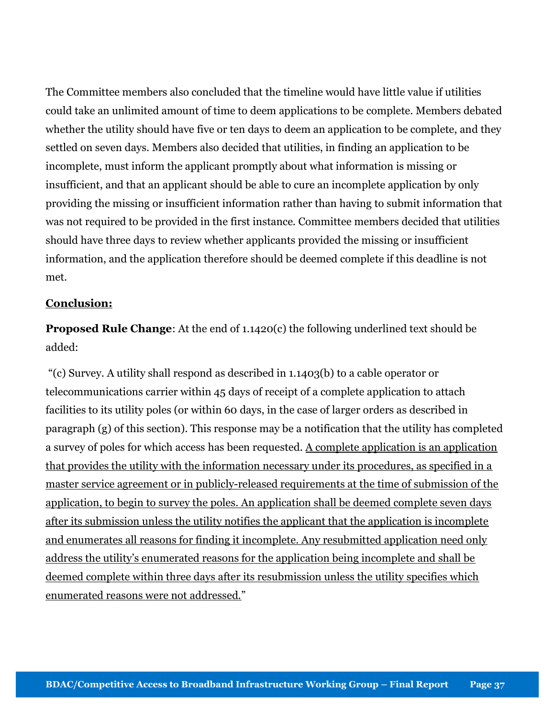The Committee members also concluded that the timeline would have little value if utilities could take an unlimited amount of time to deem applications to be complete. Members debated whether the utility should have five or ten days to deem an application to be complete, and they settled on seven days. Members also decided that utilities, in finding an application to be incomplete, must inform the applicant promptly about what information is missing or insufficient, and that an applicant should be able to cure an incomplete application by only providing the missing or insufficient information rather than having to submit information that was not required to be provided in the first instance. Committee members decided that utilities should have three days to review whether applicants provided the missing or insufficient information, and the application therefore should be deemed complete if this deadline is not met.

### Conclusion:

Proposed Rule Change: At the end of 1.1420(c) the following underlined text should be added:

"(c) Survey. A utility shall respond as described in 1.1403(b) to a cable operator or telecommunications carrier within 45 days of receipt of a complete application to attach facilities to its utility poles (or within 60 days, in the case of larger orders as described in paragraph (g) of this section). This response may be a notification that the utility has completed a survey of poles for which access has been requested. A complete application is an application that provides the utility with the information necessary under its procedures, as specified in a master service agreement or in publicly-released requirements at the time of submission of the application, to begin to survey the poles. An application shall be deemed complete seven days after its submission unless the utility notifies the applicant that the application is incomplete and enumerates all reasons for finding it incomplete. Any resubmitted application need only address the utility's enumerated reasons for the application being incomplete and shall be deemed complete within three days after its resubmission unless the utility specifies which enumerated reasons were not addressed."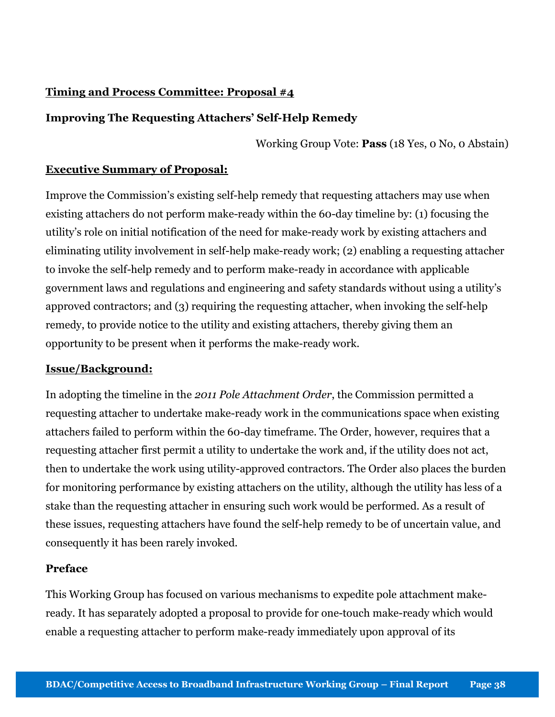# Timing and Process Committee: Proposal #4

# Improving The Requesting Attachers' Self-Help Remedy

Working Group Vote: Pass (18 Yes, 0 No, 0 Abstain)

# Executive Summary of Proposal:

Improve the Commission's existing self-help remedy that requesting attachers may use when existing attachers do not perform make-ready within the 60-day timeline by: (1) focusing the utility's role on initial notification of the need for make-ready work by existing attachers and eliminating utility involvement in self-help make-ready work; (2) enabling a requesting attacher to invoke the self-help remedy and to perform make-ready in accordance with applicable government laws and regulations and engineering and safety standards without using a utility's approved contractors; and (3) requiring the requesting attacher, when invoking the self-help remedy, to provide notice to the utility and existing attachers, thereby giving them an opportunity to be present when it performs the make-ready work.

# Issue/Background:

In adopting the timeline in the 2011 Pole Attachment Order, the Commission permitted a requesting attacher to undertake make-ready work in the communications space when existing attachers failed to perform within the 60-day timeframe. The Order, however, requires that a requesting attacher first permit a utility to undertake the work and, if the utility does not act, then to undertake the work using utility-approved contractors. The Order also places the burden for monitoring performance by existing attachers on the utility, although the utility has less of a stake than the requesting attacher in ensuring such work would be performed. As a result of these issues, requesting attachers have found the self-help remedy to be of uncertain value, and consequently it has been rarely invoked.

# Preface

This Working Group has focused on various mechanisms to expedite pole attachment makeready. It has separately adopted a proposal to provide for one-touch make-ready which would enable a requesting attacher to perform make-ready immediately upon approval of its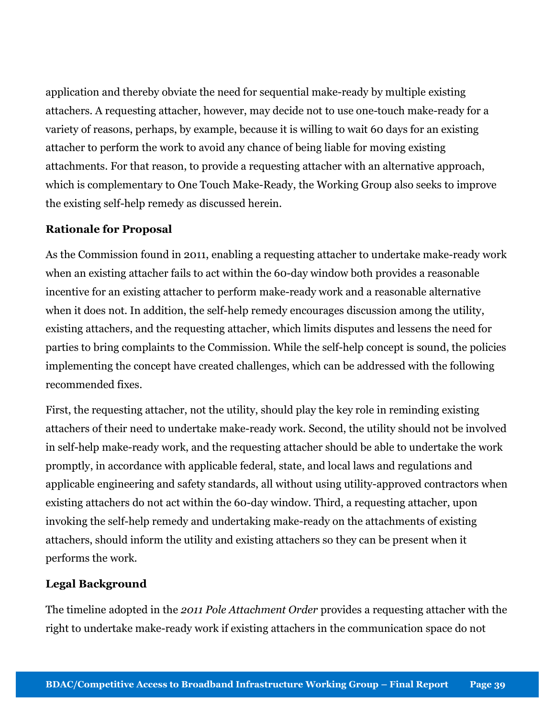application and thereby obviate the need for sequential make-ready by multiple existing attachers. A requesting attacher, however, may decide not to use one-touch make-ready for a variety of reasons, perhaps, by example, because it is willing to wait 60 days for an existing attacher to perform the work to avoid any chance of being liable for moving existing attachments. For that reason, to provide a requesting attacher with an alternative approach, which is complementary to One Touch Make-Ready, the Working Group also seeks to improve the existing self-help remedy as discussed herein.

### Rationale for Proposal

As the Commission found in 2011, enabling a requesting attacher to undertake make-ready work when an existing attacher fails to act within the 60-day window both provides a reasonable incentive for an existing attacher to perform make-ready work and a reasonable alternative when it does not. In addition, the self-help remedy encourages discussion among the utility, existing attachers, and the requesting attacher, which limits disputes and lessens the need for parties to bring complaints to the Commission. While the self-help concept is sound, the policies implementing the concept have created challenges, which can be addressed with the following recommended fixes.

First, the requesting attacher, not the utility, should play the key role in reminding existing attachers of their need to undertake make-ready work. Second, the utility should not be involved in self-help make-ready work, and the requesting attacher should be able to undertake the work promptly, in accordance with applicable federal, state, and local laws and regulations and applicable engineering and safety standards, all without using utility-approved contractors when existing attachers do not act within the 60-day window. Third, a requesting attacher, upon invoking the self-help remedy and undertaking make-ready on the attachments of existing attachers, should inform the utility and existing attachers so they can be present when it performs the work.

# Legal Background

The timeline adopted in the 2011 Pole Attachment Order provides a requesting attacher with the right to undertake make-ready work if existing attachers in the communication space do not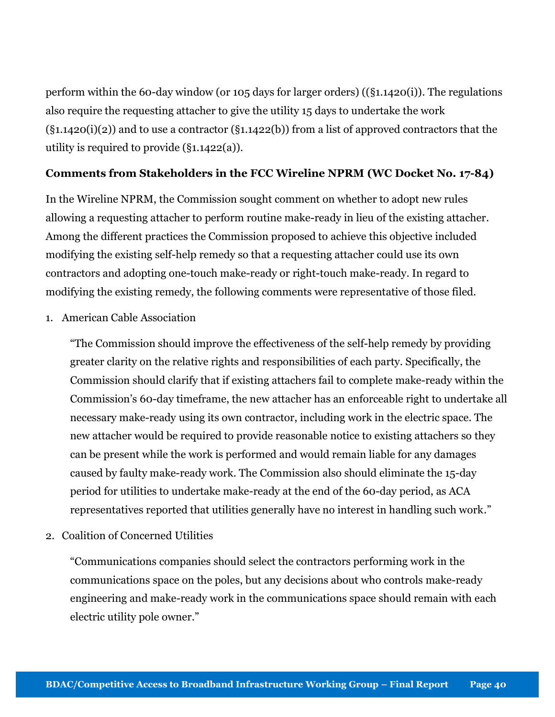perform within the 60-day window (or 105 days for larger orders) ((§1.1420(i)). The regulations also require the requesting attacher to give the utility 15 days to undertake the work  $(\S1.1420(i)(2))$  and to use a contractor  $(\S1.1422(b))$  from a list of approved contractors that the utility is required to provide (§1.1422(a)).

### Comments from Stakeholders in the FCC Wireline NPRM (WC Docket No. 17-84)

In the Wireline NPRM, the Commission sought comment on whether to adopt new rules allowing a requesting attacher to perform routine make-ready in lieu of the existing attacher. Among the different practices the Commission proposed to achieve this objective included modifying the existing self-help remedy so that a requesting attacher could use its own contractors and adopting one-touch make-ready or right-touch make-ready. In regard to modifying the existing remedy, the following comments were representative of those filed.

1. American Cable Association

"The Commission should improve the effectiveness of the self-help remedy by providing greater clarity on the relative rights and responsibilities of each party. Specifically, the Commission should clarify that if existing attachers fail to complete make-ready within the Commission's 60-day timeframe, the new attacher has an enforceable right to undertake all necessary make-ready using its own contractor, including work in the electric space. The new attacher would be required to provide reasonable notice to existing attachers so they can be present while the work is performed and would remain liable for any damages caused by faulty make-ready work. The Commission also should eliminate the 15-day period for utilities to undertake make-ready at the end of the 60-day period, as ACA representatives reported that utilities generally have no interest in handling such work."

2. Coalition of Concerned Utilities

"Communications companies should select the contractors performing work in the communications space on the poles, but any decisions about who controls make-ready engineering and make-ready work in the communications space should remain with each electric utility pole owner."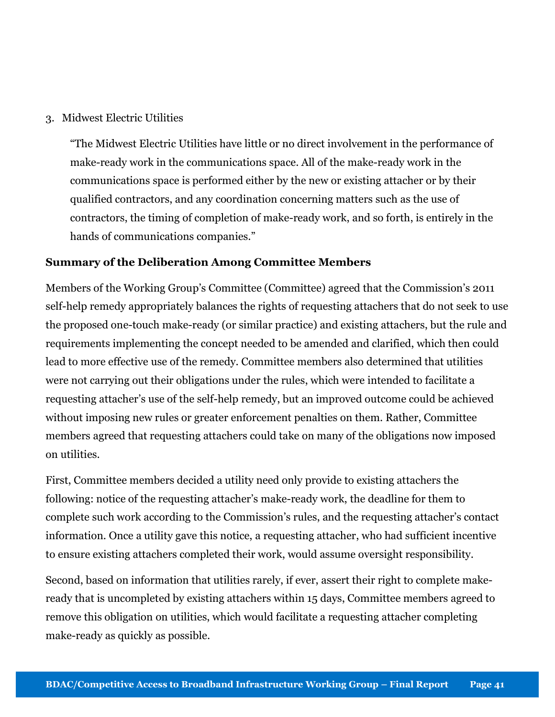#### 3. Midwest Electric Utilities

"The Midwest Electric Utilities have little or no direct involvement in the performance of make-ready work in the communications space. All of the make-ready work in the communications space is performed either by the new or existing attacher or by their qualified contractors, and any coordination concerning matters such as the use of contractors, the timing of completion of make-ready work, and so forth, is entirely in the hands of communications companies."

#### Summary of the Deliberation Among Committee Members

Members of the Working Group's Committee (Committee) agreed that the Commission's 2011 self-help remedy appropriately balances the rights of requesting attachers that do not seek to use the proposed one-touch make-ready (or similar practice) and existing attachers, but the rule and requirements implementing the concept needed to be amended and clarified, which then could lead to more effective use of the remedy. Committee members also determined that utilities were not carrying out their obligations under the rules, which were intended to facilitate a requesting attacher's use of the self-help remedy, but an improved outcome could be achieved without imposing new rules or greater enforcement penalties on them. Rather, Committee members agreed that requesting attachers could take on many of the obligations now imposed on utilities.

First, Committee members decided a utility need only provide to existing attachers the following: notice of the requesting attacher's make-ready work, the deadline for them to complete such work according to the Commission's rules, and the requesting attacher's contact information. Once a utility gave this notice, a requesting attacher, who had sufficient incentive to ensure existing attachers completed their work, would assume oversight responsibility.

Second, based on information that utilities rarely, if ever, assert their right to complete makeready that is uncompleted by existing attachers within 15 days, Committee members agreed to remove this obligation on utilities, which would facilitate a requesting attacher completing make-ready as quickly as possible.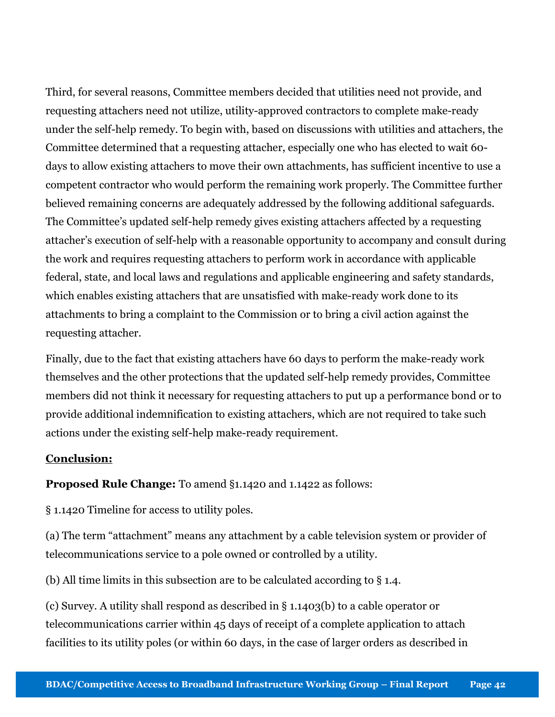Third, for several reasons, Committee members decided that utilities need not provide, and requesting attachers need not utilize, utility-approved contractors to complete make-ready under the self-help remedy. To begin with, based on discussions with utilities and attachers, the Committee determined that a requesting attacher, especially one who has elected to wait 60 days to allow existing attachers to move their own attachments, has sufficient incentive to use a competent contractor who would perform the remaining work properly. The Committee further believed remaining concerns are adequately addressed by the following additional safeguards. The Committee's updated self-help remedy gives existing attachers affected by a requesting attacher's execution of self-help with a reasonable opportunity to accompany and consult during the work and requires requesting attachers to perform work in accordance with applicable federal, state, and local laws and regulations and applicable engineering and safety standards, which enables existing attachers that are unsatisfied with make-ready work done to its attachments to bring a complaint to the Commission or to bring a civil action against the requesting attacher.

Finally, due to the fact that existing attachers have 60 days to perform the make-ready work themselves and the other protections that the updated self-help remedy provides, Committee members did not think it necessary for requesting attachers to put up a performance bond or to provide additional indemnification to existing attachers, which are not required to take such actions under the existing self-help make-ready requirement.

### Conclusion:

# Proposed Rule Change: To amend §1.1420 and 1.1422 as follows:

§ 1.1420 Timeline for access to utility poles.

(a) The term "attachment" means any attachment by a cable television system or provider of telecommunications service to a pole owned or controlled by a utility.

(b) All time limits in this subsection are to be calculated according to § 1.4.

(c) Survey. A utility shall respond as described in § 1.1403(b) to a cable operator or telecommunications carrier within 45 days of receipt of a complete application to attach facilities to its utility poles (or within 60 days, in the case of larger orders as described in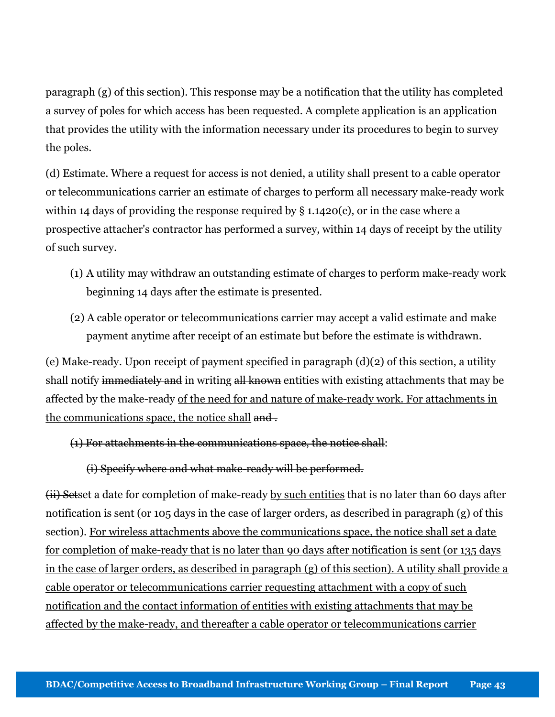paragraph (g) of this section). This response may be a notification that the utility has completed a survey of poles for which access has been requested. A complete application is an application that provides the utility with the information necessary under its procedures to begin to survey the poles.

(d) Estimate. Where a request for access is not denied, a utility shall present to a cable operator or telecommunications carrier an estimate of charges to perform all necessary make-ready work within 14 days of providing the response required by  $\S$  1.1420(c), or in the case where a prospective attacher's contractor has performed a survey, within 14 days of receipt by the utility of such survey.

- (1) A utility may withdraw an outstanding estimate of charges to perform make-ready work beginning 14 days after the estimate is presented.
- (2) A cable operator or telecommunications carrier may accept a valid estimate and make payment anytime after receipt of an estimate but before the estimate is withdrawn.

(e) Make-ready. Upon receipt of payment specified in paragraph (d)(2) of this section, a utility shall notify immediately and in writing all known entities with existing attachments that may be affected by the make-ready of the need for and nature of make-ready work. For attachments in the communications space, the notice shall and.

(1) For attachments in the communications space, the notice shall:

(i) Specify where and what make-ready will be performed.

(ii) Setset a date for completion of make-ready by such entities that is no later than 60 days after notification is sent (or 105 days in the case of larger orders, as described in paragraph (g) of this section). For wireless attachments above the communications space, the notice shall set a date for completion of make-ready that is no later than 90 days after notification is sent (or 135 days in the case of larger orders, as described in paragraph (g) of this section). A utility shall provide a cable operator or telecommunications carrier requesting attachment with a copy of such notification and the contact information of entities with existing attachments that may be affected by the make-ready, and thereafter a cable operator or telecommunications carrier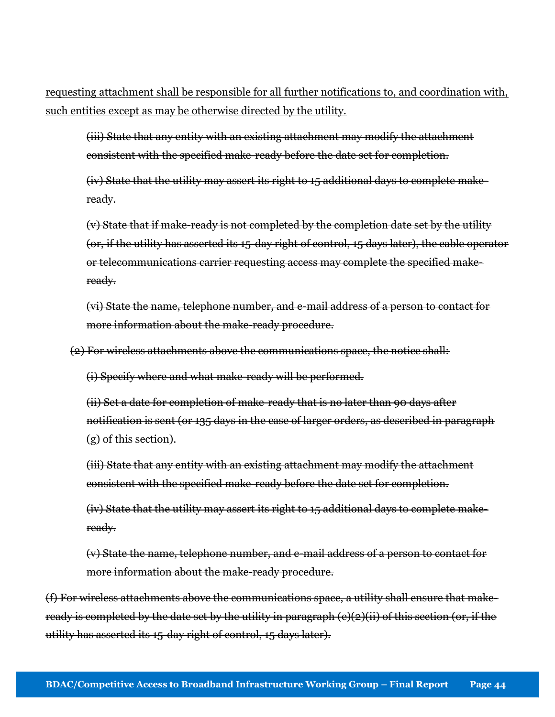requesting attachment shall be responsible for all further notifications to, and coordination with, such entities except as may be otherwise directed by the utility.

(iii) State that any entity with an existing attachment may modify the attachment consistent with the specified make-ready before the date set for completion.

(iv) State that the utility may assert its right to 15 additional days to complete makeready.

(v) State that if make-ready is not completed by the completion date set by the utility (or, if the utility has asserted its 15-day right of control, 15 days later), the cable operator or telecommunications carrier requesting access may complete the specified makeready.

(vi) State the name, telephone number, and e-mail address of a person to contact for more information about the make-ready procedure.

(2) For wireless attachments above the communications space, the notice shall:

(i) Specify where and what make-ready will be performed.

(ii) Set a date for completion of make-ready that is no later than 90 days after notification is sent (or 135 days in the case of larger orders, as described in paragraph (g) of this section).

(iii) State that any entity with an existing attachment may modify the attachment consistent with the specified make-ready before the date set for completion.

(iv) State that the utility may assert its right to 15 additional days to complete makeready.

(v) State the name, telephone number, and e-mail address of a person to contact for more information about the make-ready procedure.

(f) For wireless attachments above the communications space, a utility shall ensure that makeready is completed by the date set by the utility in paragraph (e)(2)(ii) of this section (or, if the utility has asserted its 15-day right of control, 15 days later).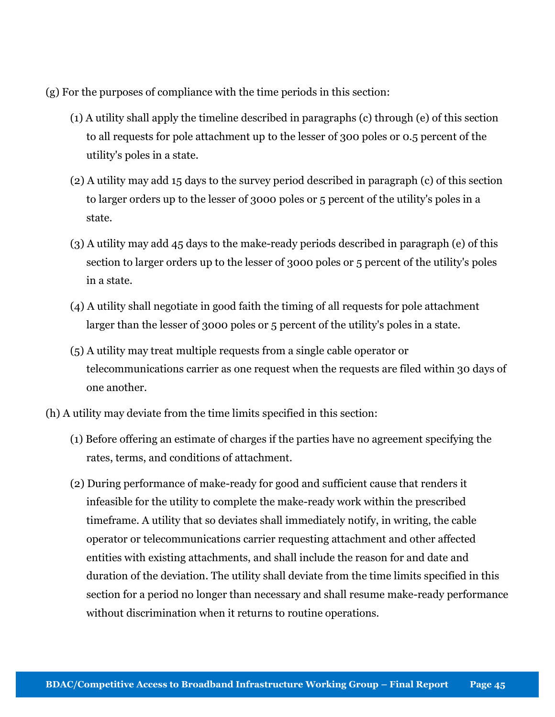(g) For the purposes of compliance with the time periods in this section:

- (1) A utility shall apply the timeline described in paragraphs (c) through (e) of this section to all requests for pole attachment up to the lesser of 300 poles or 0.5 percent of the utility's poles in a state.
- (2) A utility may add 15 days to the survey period described in paragraph (c) of this section to larger orders up to the lesser of 3000 poles or 5 percent of the utility's poles in a state.
- (3) A utility may add 45 days to the make-ready periods described in paragraph (e) of this section to larger orders up to the lesser of 3000 poles or 5 percent of the utility's poles in a state.
- (4) A utility shall negotiate in good faith the timing of all requests for pole attachment larger than the lesser of 3000 poles or 5 percent of the utility's poles in a state.
- (5) A utility may treat multiple requests from a single cable operator or telecommunications carrier as one request when the requests are filed within 30 days of one another.
- (h) A utility may deviate from the time limits specified in this section:
	- (1) Before offering an estimate of charges if the parties have no agreement specifying the rates, terms, and conditions of attachment.
	- (2) During performance of make-ready for good and sufficient cause that renders it infeasible for the utility to complete the make-ready work within the prescribed timeframe. A utility that so deviates shall immediately notify, in writing, the cable operator or telecommunications carrier requesting attachment and other affected entities with existing attachments, and shall include the reason for and date and duration of the deviation. The utility shall deviate from the time limits specified in this section for a period no longer than necessary and shall resume make-ready performance without discrimination when it returns to routine operations.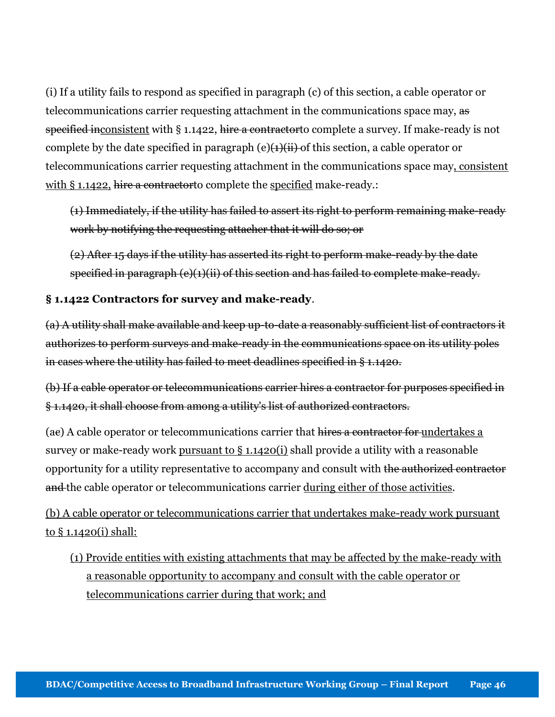(i) If a utility fails to respond as specified in paragraph (c) of this section, a cable operator or telecommunications carrier requesting attachment in the communications space may, as specified inconsistent with § 1.1422, hire a contractor to complete a survey. If make-ready is not complete by the date specified in paragraph (e) $\left(\frac{1}{i}\right)$  of this section, a cable operator or telecommunications carrier requesting attachment in the communications space may, consistent with § 1.1422, hire a contractor to complete the specified make-ready.:

(1) Immediately, if the utility has failed to assert its right to perform remaining make-ready work by notifying the requesting attacher that it will do so; or

(2) After 15 days if the utility has asserted its right to perform make-ready by the date specified in paragraph (e)(1)(ii) of this section and has failed to complete make-ready.

### § 1.1422 Contractors for survey and make-ready.

(a) A utility shall make available and keep up-to-date a reasonably sufficient list of contractors it authorizes to perform surveys and make-ready in the communications space on its utility poles in cases where the utility has failed to meet deadlines specified in § 1.1420.

(b) If a cable operator or telecommunications carrier hires a contractor for purposes specified in § 1.1420, it shall choose from among a utility's list of authorized contractors.

(ae) A cable operator or telecommunications carrier that hires a contractor for undertakes a survey or make-ready work pursuant to § 1.1420(i) shall provide a utility with a reasonable opportunity for a utility representative to accompany and consult with the authorized contractor and the cable operator or telecommunications carrier during either of those activities.

(b) A cable operator or telecommunications carrier that undertakes make-ready work pursuant to § 1.1420(i) shall:

(1) Provide entities with existing attachments that may be affected by the make-ready with a reasonable opportunity to accompany and consult with the cable operator or telecommunications carrier during that work; and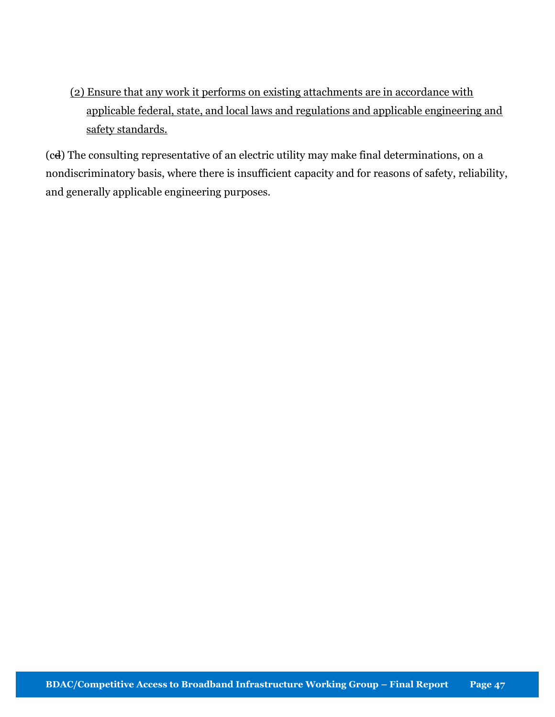(2) Ensure that any work it performs on existing attachments are in accordance with applicable federal, state, and local laws and regulations and applicable engineering and safety standards.

(cd) The consulting representative of an electric utility may make final determinations, on a nondiscriminatory basis, where there is insufficient capacity and for reasons of safety, reliability, and generally applicable engineering purposes.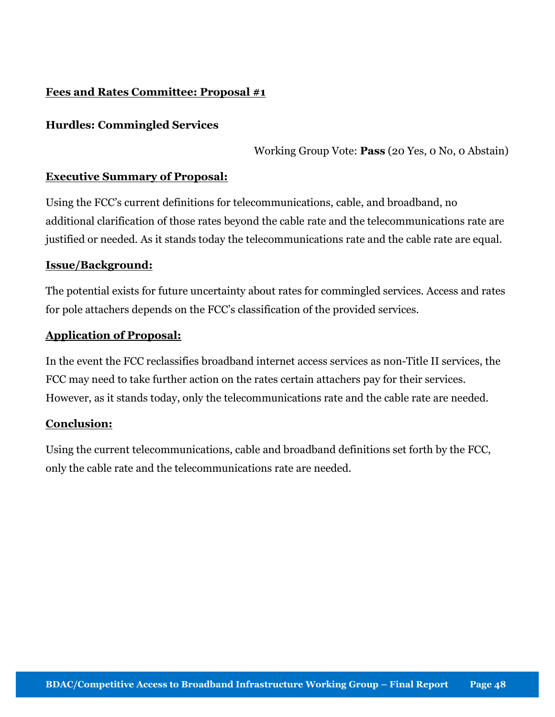# Fees and Rates Committee: Proposal #1

#### Hurdles: Commingled Services

Working Group Vote: Pass (20 Yes, 0 No, 0 Abstain)

#### Executive Summary of Proposal:

Using the FCC's current definitions for telecommunications, cable, and broadband, no additional clarification of those rates beyond the cable rate and the telecommunications rate are justified or needed. As it stands today the telecommunications rate and the cable rate are equal.

#### Issue/Background:

The potential exists for future uncertainty about rates for commingled services. Access and rates for pole attachers depends on the FCC's classification of the provided services.

#### Application of Proposal:

In the event the FCC reclassifies broadband internet access services as non-Title II services, the FCC may need to take further action on the rates certain attachers pay for their services. However, as it stands today, only the telecommunications rate and the cable rate are needed.

#### Conclusion:

Using the current telecommunications, cable and broadband definitions set forth by the FCC, only the cable rate and the telecommunications rate are needed.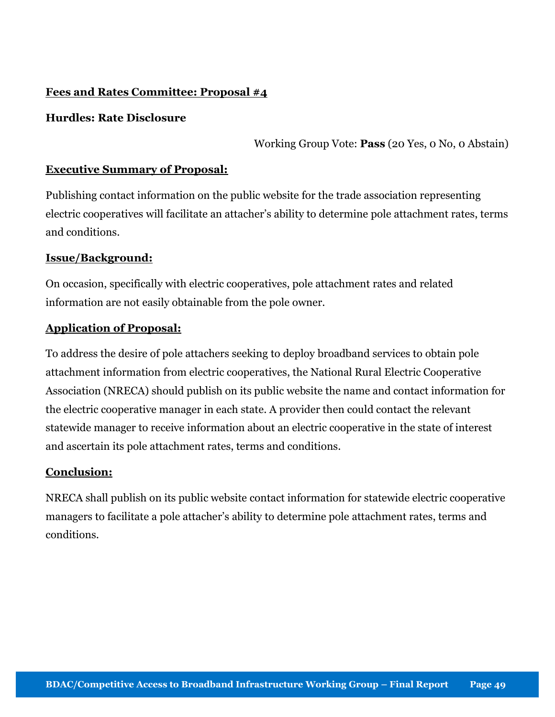# Fees and Rates Committee: Proposal #4

# Hurdles: Rate Disclosure

Working Group Vote: Pass (20 Yes, 0 No, 0 Abstain)

# Executive Summary of Proposal:

Publishing contact information on the public website for the trade association representing electric cooperatives will facilitate an attacher's ability to determine pole attachment rates, terms and conditions.

### Issue/Background:

On occasion, specifically with electric cooperatives, pole attachment rates and related information are not easily obtainable from the pole owner.

# Application of Proposal:

To address the desire of pole attachers seeking to deploy broadband services to obtain pole attachment information from electric cooperatives, the National Rural Electric Cooperative Association (NRECA) should publish on its public website the name and contact information for the electric cooperative manager in each state. A provider then could contact the relevant statewide manager to receive information about an electric cooperative in the state of interest and ascertain its pole attachment rates, terms and conditions.

### Conclusion:

NRECA shall publish on its public website contact information for statewide electric cooperative managers to facilitate a pole attacher's ability to determine pole attachment rates, terms and conditions.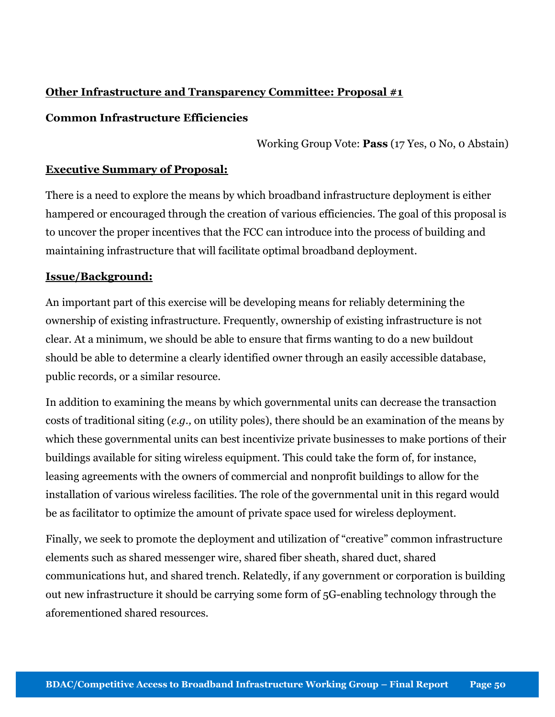# Other Infrastructure and Transparency Committee: Proposal #1

### Common Infrastructure Efficiencies

Working Group Vote: Pass (17 Yes, 0 No, 0 Abstain)

### Executive Summary of Proposal:

There is a need to explore the means by which broadband infrastructure deployment is either hampered or encouraged through the creation of various efficiencies. The goal of this proposal is to uncover the proper incentives that the FCC can introduce into the process of building and maintaining infrastructure that will facilitate optimal broadband deployment.

### Issue/Background:

An important part of this exercise will be developing means for reliably determining the ownership of existing infrastructure. Frequently, ownership of existing infrastructure is not clear. At a minimum, we should be able to ensure that firms wanting to do a new buildout should be able to determine a clearly identified owner through an easily accessible database, public records, or a similar resource.

In addition to examining the means by which governmental units can decrease the transaction costs of traditional siting (e.g., on utility poles), there should be an examination of the means by which these governmental units can best incentivize private businesses to make portions of their buildings available for siting wireless equipment. This could take the form of, for instance, leasing agreements with the owners of commercial and nonprofit buildings to allow for the installation of various wireless facilities. The role of the governmental unit in this regard would be as facilitator to optimize the amount of private space used for wireless deployment.

Finally, we seek to promote the deployment and utilization of "creative" common infrastructure elements such as shared messenger wire, shared fiber sheath, shared duct, shared communications hut, and shared trench. Relatedly, if any government or corporation is building out new infrastructure it should be carrying some form of 5G-enabling technology through the aforementioned shared resources.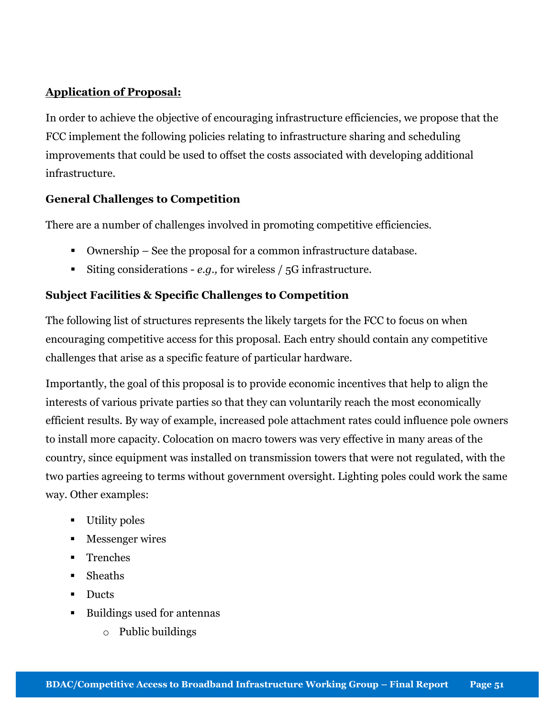# Application of Proposal:

In order to achieve the objective of encouraging infrastructure efficiencies, we propose that the FCC implement the following policies relating to infrastructure sharing and scheduling improvements that could be used to offset the costs associated with developing additional infrastructure.

# General Challenges to Competition

There are a number of challenges involved in promoting competitive efficiencies.

- Ownership See the proposal for a common infrastructure database.
- Siting considerations e.g., for wireless  $/5G$  infrastructure.

# Subject Facilities & Specific Challenges to Competition

The following list of structures represents the likely targets for the FCC to focus on when encouraging competitive access for this proposal. Each entry should contain any competitive challenges that arise as a specific feature of particular hardware.

Importantly, the goal of this proposal is to provide economic incentives that help to align the interests of various private parties so that they can voluntarily reach the most economically efficient results. By way of example, increased pole attachment rates could influence pole owners to install more capacity. Colocation on macro towers was very effective in many areas of the country, since equipment was installed on transmission towers that were not regulated, with the two parties agreeing to terms without government oversight. Lighting poles could work the same way. Other examples:

- **Utility poles**
- **Messenger wires**
- **Trenches**
- Sheaths
- Ducts
- Buildings used for antennas
	- o Public buildings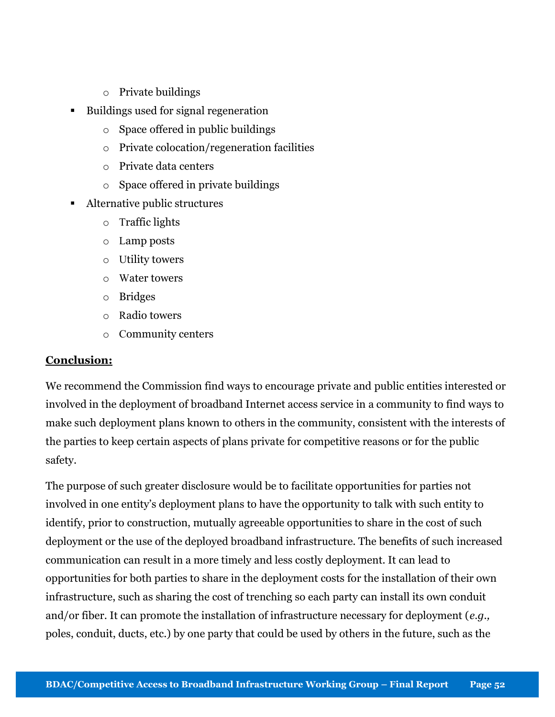- o Private buildings
- Buildings used for signal regeneration
	- o Space offered in public buildings
	- o Private colocation/regeneration facilities
	- o Private data centers
	- o Space offered in private buildings
- Alternative public structures
	- o Traffic lights
	- o Lamp posts
	- o Utility towers
	- o Water towers
	- o Bridges
	- o Radio towers
	- o Community centers

### Conclusion:

We recommend the Commission find ways to encourage private and public entities interested or involved in the deployment of broadband Internet access service in a community to find ways to make such deployment plans known to others in the community, consistent with the interests of the parties to keep certain aspects of plans private for competitive reasons or for the public safety.

The purpose of such greater disclosure would be to facilitate opportunities for parties not involved in one entity's deployment plans to have the opportunity to talk with such entity to identify, prior to construction, mutually agreeable opportunities to share in the cost of such deployment or the use of the deployed broadband infrastructure. The benefits of such increased communication can result in a more timely and less costly deployment. It can lead to opportunities for both parties to share in the deployment costs for the installation of their own infrastructure, such as sharing the cost of trenching so each party can install its own conduit and/or fiber. It can promote the installation of infrastructure necessary for deployment (e.g., poles, conduit, ducts, etc.) by one party that could be used by others in the future, such as the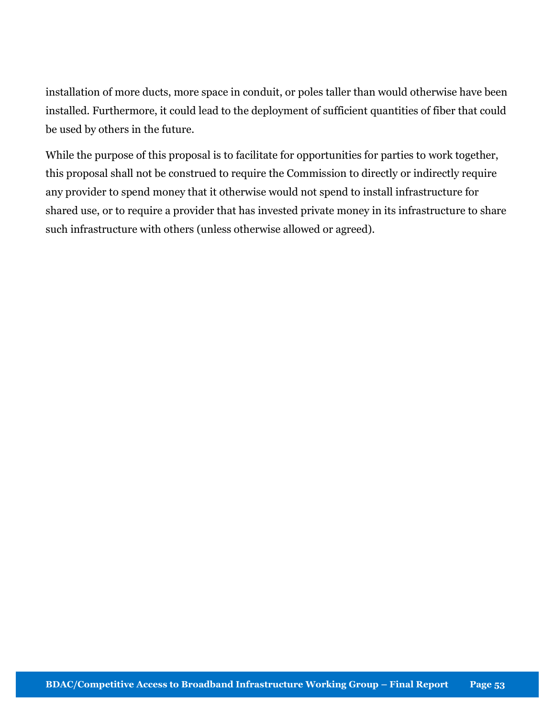installation of more ducts, more space in conduit, or poles taller than would otherwise have been installed. Furthermore, it could lead to the deployment of sufficient quantities of fiber that could be used by others in the future.

While the purpose of this proposal is to facilitate for opportunities for parties to work together, this proposal shall not be construed to require the Commission to directly or indirectly require any provider to spend money that it otherwise would not spend to install infrastructure for shared use, or to require a provider that has invested private money in its infrastructure to share such infrastructure with others (unless otherwise allowed or agreed).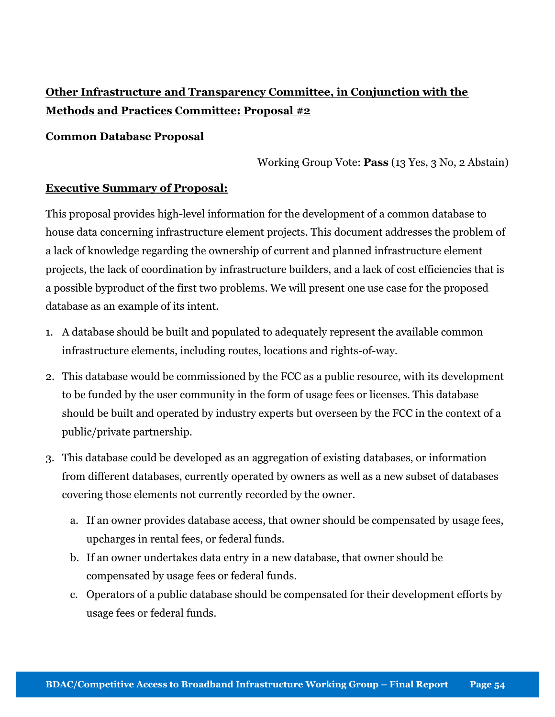# Other Infrastructure and Transparency Committee, in Conjunction with the Methods and Practices Committee: Proposal #2

### Common Database Proposal

Working Group Vote: Pass (13 Yes, 3 No, 2 Abstain)

### Executive Summary of Proposal:

This proposal provides high-level information for the development of a common database to house data concerning infrastructure element projects. This document addresses the problem of a lack of knowledge regarding the ownership of current and planned infrastructure element projects, the lack of coordination by infrastructure builders, and a lack of cost efficiencies that is a possible byproduct of the first two problems. We will present one use case for the proposed database as an example of its intent.

- 1. A database should be built and populated to adequately represent the available common infrastructure elements, including routes, locations and rights-of-way.
- 2. This database would be commissioned by the FCC as a public resource, with its development to be funded by the user community in the form of usage fees or licenses. This database should be built and operated by industry experts but overseen by the FCC in the context of a public/private partnership.
- 3. This database could be developed as an aggregation of existing databases, or information from different databases, currently operated by owners as well as a new subset of databases covering those elements not currently recorded by the owner.
	- a. If an owner provides database access, that owner should be compensated by usage fees, upcharges in rental fees, or federal funds.
	- b. If an owner undertakes data entry in a new database, that owner should be compensated by usage fees or federal funds.
	- c. Operators of a public database should be compensated for their development efforts by usage fees or federal funds.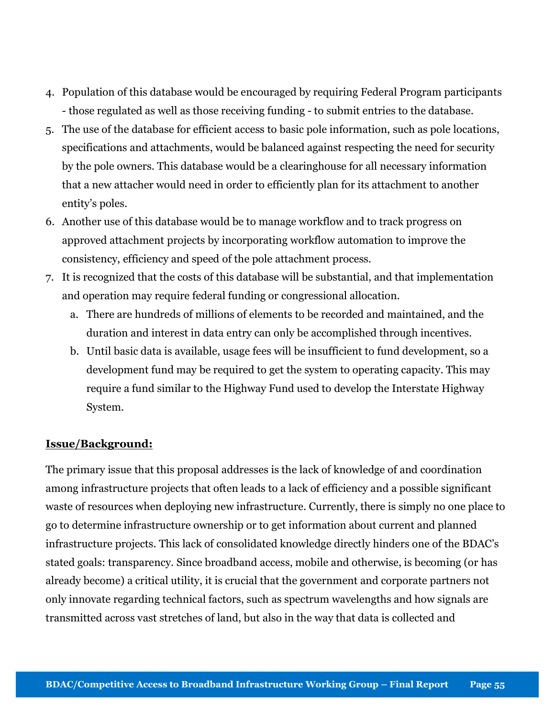- 4. Population of this database would be encouraged by requiring Federal Program participants - those regulated as well as those receiving funding - to submit entries to the database.
- 5. The use of the database for efficient access to basic pole information, such as pole locations, specifications and attachments, would be balanced against respecting the need for security by the pole owners. This database would be a clearinghouse for all necessary information that a new attacher would need in order to efficiently plan for its attachment to another entity's poles.
- 6. Another use of this database would be to manage workflow and to track progress on approved attachment projects by incorporating workflow automation to improve the consistency, efficiency and speed of the pole attachment process.
- 7. It is recognized that the costs of this database will be substantial, and that implementation and operation may require federal funding or congressional allocation.
	- a. There are hundreds of millions of elements to be recorded and maintained, and the duration and interest in data entry can only be accomplished through incentives.
	- b. Until basic data is available, usage fees will be insufficient to fund development, so a development fund may be required to get the system to operating capacity. This may require a fund similar to the Highway Fund used to develop the Interstate Highway System.

# Issue/Background:

The primary issue that this proposal addresses is the lack of knowledge of and coordination among infrastructure projects that often leads to a lack of efficiency and a possible significant waste of resources when deploying new infrastructure. Currently, there is simply no one place to go to determine infrastructure ownership or to get information about current and planned infrastructure projects. This lack of consolidated knowledge directly hinders one of the BDAC's stated goals: transparency. Since broadband access, mobile and otherwise, is becoming (or has already become) a critical utility, it is crucial that the government and corporate partners not only innovate regarding technical factors, such as spectrum wavelengths and how signals are transmitted across vast stretches of land, but also in the way that data is collected and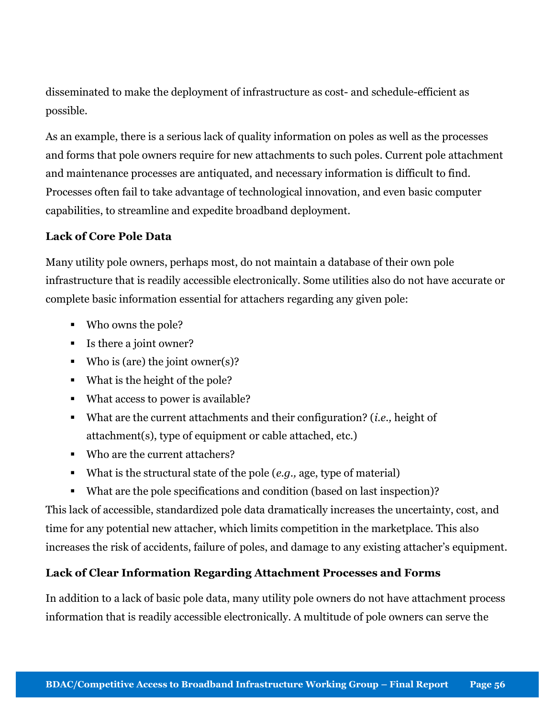disseminated to make the deployment of infrastructure as cost- and schedule-efficient as possible.

As an example, there is a serious lack of quality information on poles as well as the processes and forms that pole owners require for new attachments to such poles. Current pole attachment and maintenance processes are antiquated, and necessary information is difficult to find. Processes often fail to take advantage of technological innovation, and even basic computer capabilities, to streamline and expedite broadband deployment.

# Lack of Core Pole Data

Many utility pole owners, perhaps most, do not maintain a database of their own pole infrastructure that is readily accessible electronically. Some utilities also do not have accurate or complete basic information essential for attachers regarding any given pole:

- Who owns the pole?
- Is there a joint owner?
- Who is (are) the joint owner(s)?
- What is the height of the pole?
- What access to power is available?
- What are the current attachments and their configuration? (*i.e.*, height of attachment(s), type of equipment or cable attached, etc.)
- Who are the current attachers?
- What is the structural state of the pole  $(e.g.,\)$  age, type of material)
- What are the pole specifications and condition (based on last inspection)?

This lack of accessible, standardized pole data dramatically increases the uncertainty, cost, and time for any potential new attacher, which limits competition in the marketplace. This also increases the risk of accidents, failure of poles, and damage to any existing attacher's equipment.

# Lack of Clear Information Regarding Attachment Processes and Forms

In addition to a lack of basic pole data, many utility pole owners do not have attachment process information that is readily accessible electronically. A multitude of pole owners can serve the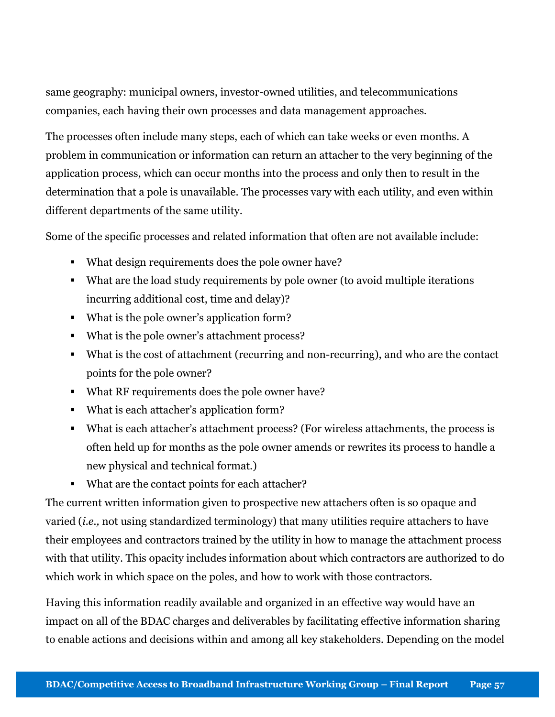same geography: municipal owners, investor-owned utilities, and telecommunications companies, each having their own processes and data management approaches.

The processes often include many steps, each of which can take weeks or even months. A problem in communication or information can return an attacher to the very beginning of the application process, which can occur months into the process and only then to result in the determination that a pole is unavailable. The processes vary with each utility, and even within different departments of the same utility.

Some of the specific processes and related information that often are not available include:

- What design requirements does the pole owner have?
- What are the load study requirements by pole owner (to avoid multiple iterations incurring additional cost, time and delay)?
- What is the pole owner's application form?
- What is the pole owner's attachment process?
- What is the cost of attachment (recurring and non-recurring), and who are the contact points for the pole owner?
- What RF requirements does the pole owner have?
- What is each attacher's application form?
- What is each attacher's attachment process? (For wireless attachments, the process is often held up for months as the pole owner amends or rewrites its process to handle a new physical and technical format.)
- What are the contact points for each attacher?

The current written information given to prospective new attachers often is so opaque and varied (i.e., not using standardized terminology) that many utilities require attachers to have their employees and contractors trained by the utility in how to manage the attachment process with that utility. This opacity includes information about which contractors are authorized to do which work in which space on the poles, and how to work with those contractors.

Having this information readily available and organized in an effective way would have an impact on all of the BDAC charges and deliverables by facilitating effective information sharing to enable actions and decisions within and among all key stakeholders. Depending on the model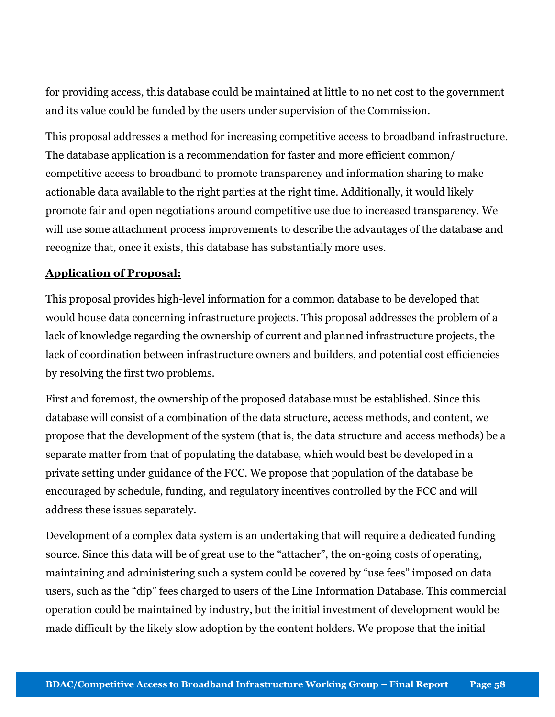for providing access, this database could be maintained at little to no net cost to the government and its value could be funded by the users under supervision of the Commission.

This proposal addresses a method for increasing competitive access to broadband infrastructure. The database application is a recommendation for faster and more efficient common/ competitive access to broadband to promote transparency and information sharing to make actionable data available to the right parties at the right time. Additionally, it would likely promote fair and open negotiations around competitive use due to increased transparency. We will use some attachment process improvements to describe the advantages of the database and recognize that, once it exists, this database has substantially more uses.

# Application of Proposal:

This proposal provides high-level information for a common database to be developed that would house data concerning infrastructure projects. This proposal addresses the problem of a lack of knowledge regarding the ownership of current and planned infrastructure projects, the lack of coordination between infrastructure owners and builders, and potential cost efficiencies by resolving the first two problems.

First and foremost, the ownership of the proposed database must be established. Since this database will consist of a combination of the data structure, access methods, and content, we propose that the development of the system (that is, the data structure and access methods) be a separate matter from that of populating the database, which would best be developed in a private setting under guidance of the FCC. We propose that population of the database be encouraged by schedule, funding, and regulatory incentives controlled by the FCC and will address these issues separately.

Development of a complex data system is an undertaking that will require a dedicated funding source. Since this data will be of great use to the "attacher", the on-going costs of operating, maintaining and administering such a system could be covered by "use fees" imposed on data users, such as the "dip" fees charged to users of the Line Information Database. This commercial operation could be maintained by industry, but the initial investment of development would be made difficult by the likely slow adoption by the content holders. We propose that the initial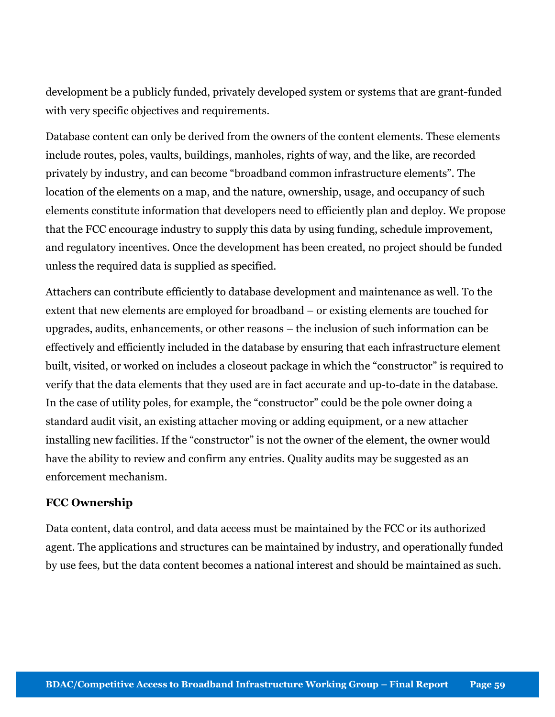development be a publicly funded, privately developed system or systems that are grant-funded with very specific objectives and requirements.

Database content can only be derived from the owners of the content elements. These elements include routes, poles, vaults, buildings, manholes, rights of way, and the like, are recorded privately by industry, and can become "broadband common infrastructure elements". The location of the elements on a map, and the nature, ownership, usage, and occupancy of such elements constitute information that developers need to efficiently plan and deploy. We propose that the FCC encourage industry to supply this data by using funding, schedule improvement, and regulatory incentives. Once the development has been created, no project should be funded unless the required data is supplied as specified.

Attachers can contribute efficiently to database development and maintenance as well. To the extent that new elements are employed for broadband – or existing elements are touched for upgrades, audits, enhancements, or other reasons – the inclusion of such information can be effectively and efficiently included in the database by ensuring that each infrastructure element built, visited, or worked on includes a closeout package in which the "constructor" is required to verify that the data elements that they used are in fact accurate and up-to-date in the database. In the case of utility poles, for example, the "constructor" could be the pole owner doing a standard audit visit, an existing attacher moving or adding equipment, or a new attacher installing new facilities. If the "constructor" is not the owner of the element, the owner would have the ability to review and confirm any entries. Quality audits may be suggested as an enforcement mechanism.

### FCC Ownership

Data content, data control, and data access must be maintained by the FCC or its authorized agent. The applications and structures can be maintained by industry, and operationally funded by use fees, but the data content becomes a national interest and should be maintained as such.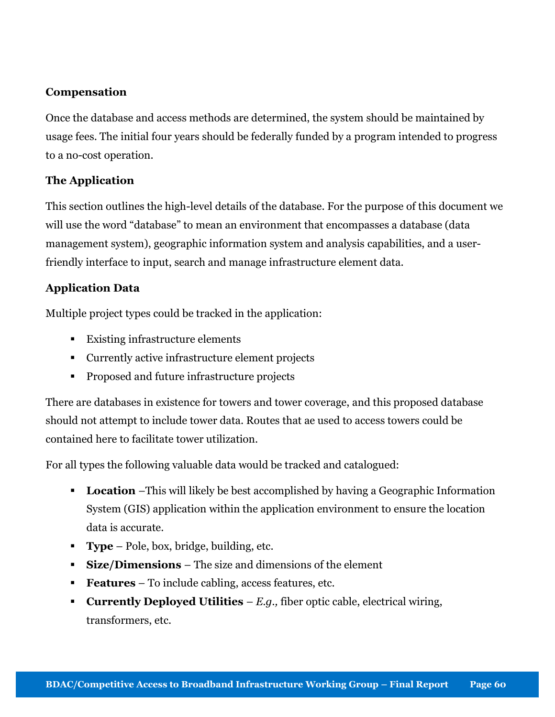# Compensation

Once the database and access methods are determined, the system should be maintained by usage fees. The initial four years should be federally funded by a program intended to progress to a no-cost operation.

# The Application

This section outlines the high-level details of the database. For the purpose of this document we will use the word "database" to mean an environment that encompasses a database (data management system), geographic information system and analysis capabilities, and a userfriendly interface to input, search and manage infrastructure element data.

# Application Data

Multiple project types could be tracked in the application:

- Existing infrastructure elements
- Currently active infrastructure element projects
- **Proposed and future infrastructure projects**

There are databases in existence for towers and tower coverage, and this proposed database should not attempt to include tower data. Routes that ae used to access towers could be contained here to facilitate tower utilization.

For all types the following valuable data would be tracked and catalogued:

- **Location** –This will likely be best accomplished by having a Geographic Information System (GIS) application within the application environment to ensure the location data is accurate.
- **Type** Pole, box, bridge, building, etc.
- **Size/Dimensions** The size and dimensions of the element
- Features To include cabling, access features, etc.
- **Currently Deployed Utilities**  $E.g.,$  fiber optic cable, electrical wiring, transformers, etc.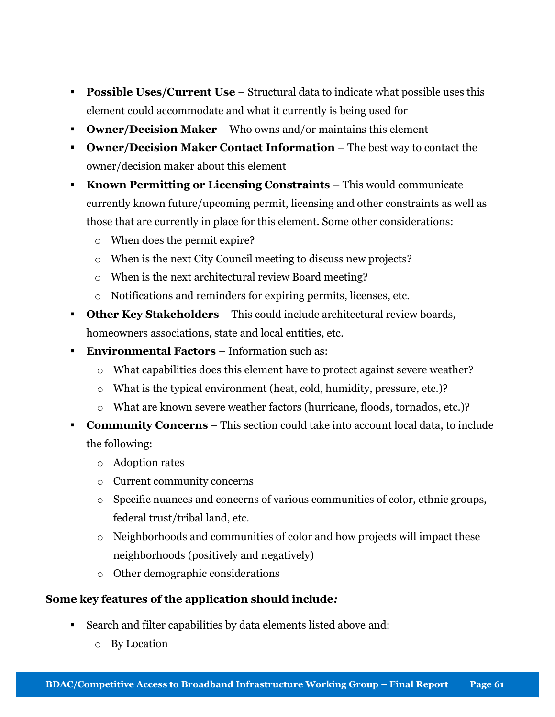- **Possible Uses/Current Use** Structural data to indicate what possible uses this element could accommodate and what it currently is being used for
- Owner/Decision Maker Who owns and/or maintains this element
- Owner/Decision Maker Contact Information The best way to contact the owner/decision maker about this element
- Known Permitting or Licensing Constraints This would communicate currently known future/upcoming permit, licensing and other constraints as well as those that are currently in place for this element. Some other considerations:
	- o When does the permit expire?
	- o When is the next City Council meeting to discuss new projects?
	- o When is the next architectural review Board meeting?
	- o Notifications and reminders for expiring permits, licenses, etc.
- Other Key Stakeholders This could include architectural review boards, homeowners associations, state and local entities, etc.
- Environmental Factors Information such as:
	- o What capabilities does this element have to protect against severe weather?
	- o What is the typical environment (heat, cold, humidity, pressure, etc.)?
	- o What are known severe weather factors (hurricane, floods, tornados, etc.)?
- Community Concerns This section could take into account local data, to include the following:
	- o Adoption rates
	- o Current community concerns
	- $\circ$  Specific nuances and concerns of various communities of color, ethnic groups, federal trust/tribal land, etc.
	- o Neighborhoods and communities of color and how projects will impact these neighborhoods (positively and negatively)
	- o Other demographic considerations

# Some key features of the application should include:

- Search and filter capabilities by data elements listed above and:
	- o By Location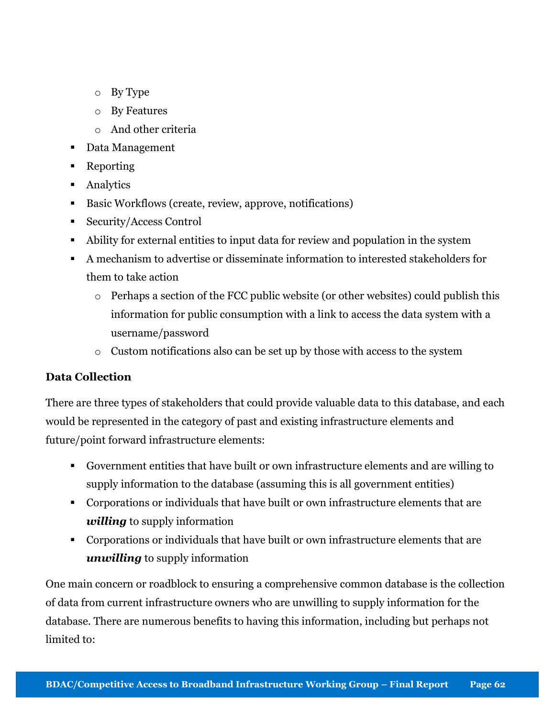- o By Type
- o By Features
- o And other criteria
- Data Management
- Reporting
- **Analytics**
- Basic Workflows (create, review, approve, notifications)
- Security/Access Control
- Ability for external entities to input data for review and population in the system
- A mechanism to advertise or disseminate information to interested stakeholders for them to take action
	- o Perhaps a section of the FCC public website (or other websites) could publish this information for public consumption with a link to access the data system with a username/password
	- o Custom notifications also can be set up by those with access to the system

# Data Collection

There are three types of stakeholders that could provide valuable data to this database, and each would be represented in the category of past and existing infrastructure elements and future/point forward infrastructure elements:

- Government entities that have built or own infrastructure elements and are willing to supply information to the database (assuming this is all government entities)
- Corporations or individuals that have built or own infrastructure elements that are willing to supply information
- Corporations or individuals that have built or own infrastructure elements that are unwilling to supply information

One main concern or roadblock to ensuring a comprehensive common database is the collection of data from current infrastructure owners who are unwilling to supply information for the database. There are numerous benefits to having this information, including but perhaps not limited to: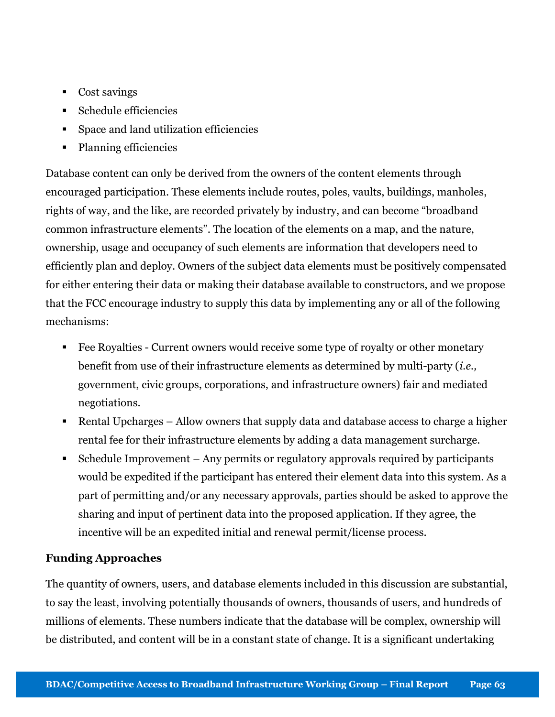- Cost savings
- Schedule efficiencies
- Space and land utilization efficiencies
- Planning efficiencies

Database content can only be derived from the owners of the content elements through encouraged participation. These elements include routes, poles, vaults, buildings, manholes, rights of way, and the like, are recorded privately by industry, and can become "broadband common infrastructure elements". The location of the elements on a map, and the nature, ownership, usage and occupancy of such elements are information that developers need to efficiently plan and deploy. Owners of the subject data elements must be positively compensated for either entering their data or making their database available to constructors, and we propose that the FCC encourage industry to supply this data by implementing any or all of the following mechanisms:

- Fee Royalties Current owners would receive some type of royalty or other monetary benefit from use of their infrastructure elements as determined by multi-party (i.e., government, civic groups, corporations, and infrastructure owners) fair and mediated negotiations.
- Rental Upcharges Allow owners that supply data and database access to charge a higher rental fee for their infrastructure elements by adding a data management surcharge.
- Schedule Improvement Any permits or regulatory approvals required by participants would be expedited if the participant has entered their element data into this system. As a part of permitting and/or any necessary approvals, parties should be asked to approve the sharing and input of pertinent data into the proposed application. If they agree, the incentive will be an expedited initial and renewal permit/license process.

# Funding Approaches

The quantity of owners, users, and database elements included in this discussion are substantial, to say the least, involving potentially thousands of owners, thousands of users, and hundreds of millions of elements. These numbers indicate that the database will be complex, ownership will be distributed, and content will be in a constant state of change. It is a significant undertaking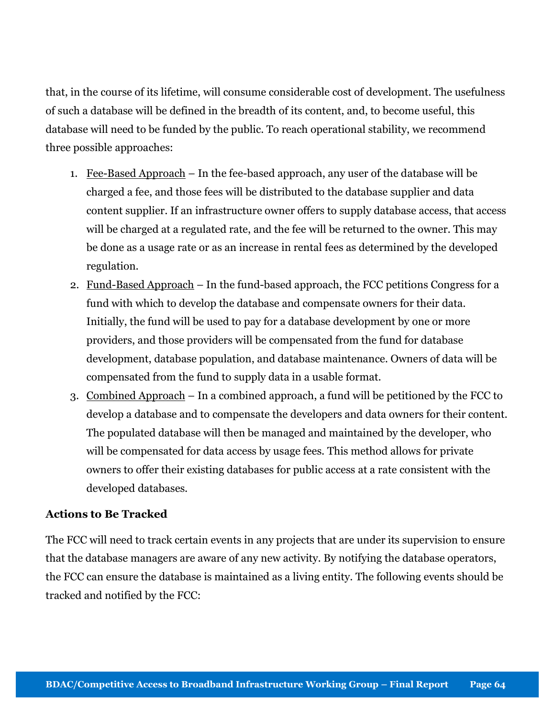that, in the course of its lifetime, will consume considerable cost of development. The usefulness of such a database will be defined in the breadth of its content, and, to become useful, this database will need to be funded by the public. To reach operational stability, we recommend three possible approaches:

- 1. Fee-Based Approach In the fee-based approach, any user of the database will be charged a fee, and those fees will be distributed to the database supplier and data content supplier. If an infrastructure owner offers to supply database access, that access will be charged at a regulated rate, and the fee will be returned to the owner. This may be done as a usage rate or as an increase in rental fees as determined by the developed regulation.
- 2. Fund-Based Approach In the fund-based approach, the FCC petitions Congress for a fund with which to develop the database and compensate owners for their data. Initially, the fund will be used to pay for a database development by one or more providers, and those providers will be compensated from the fund for database development, database population, and database maintenance. Owners of data will be compensated from the fund to supply data in a usable format.
- 3. Combined Approach In a combined approach, a fund will be petitioned by the FCC to develop a database and to compensate the developers and data owners for their content. The populated database will then be managed and maintained by the developer, who will be compensated for data access by usage fees. This method allows for private owners to offer their existing databases for public access at a rate consistent with the developed databases.

### Actions to Be Tracked

The FCC will need to track certain events in any projects that are under its supervision to ensure that the database managers are aware of any new activity. By notifying the database operators, the FCC can ensure the database is maintained as a living entity. The following events should be tracked and notified by the FCC: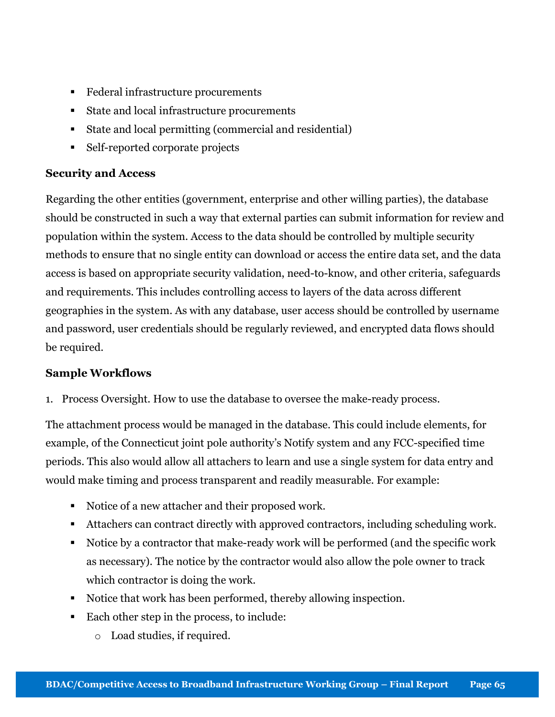- Federal infrastructure procurements
- State and local infrastructure procurements
- State and local permitting (commercial and residential)
- Self-reported corporate projects

# Security and Access

Regarding the other entities (government, enterprise and other willing parties), the database should be constructed in such a way that external parties can submit information for review and population within the system. Access to the data should be controlled by multiple security methods to ensure that no single entity can download or access the entire data set, and the data access is based on appropriate security validation, need-to-know, and other criteria, safeguards and requirements. This includes controlling access to layers of the data across different geographies in the system. As with any database, user access should be controlled by username and password, user credentials should be regularly reviewed, and encrypted data flows should be required.

# Sample Workflows

1. Process Oversight. How to use the database to oversee the make-ready process.

The attachment process would be managed in the database. This could include elements, for example, of the Connecticut joint pole authority's Notify system and any FCC-specified time periods. This also would allow all attachers to learn and use a single system for data entry and would make timing and process transparent and readily measurable. For example:

- Notice of a new attacher and their proposed work.
- Attachers can contract directly with approved contractors, including scheduling work.
- Notice by a contractor that make-ready work will be performed (and the specific work as necessary). The notice by the contractor would also allow the pole owner to track which contractor is doing the work.
- Notice that work has been performed, thereby allowing inspection.
- Each other step in the process, to include:
	- o Load studies, if required.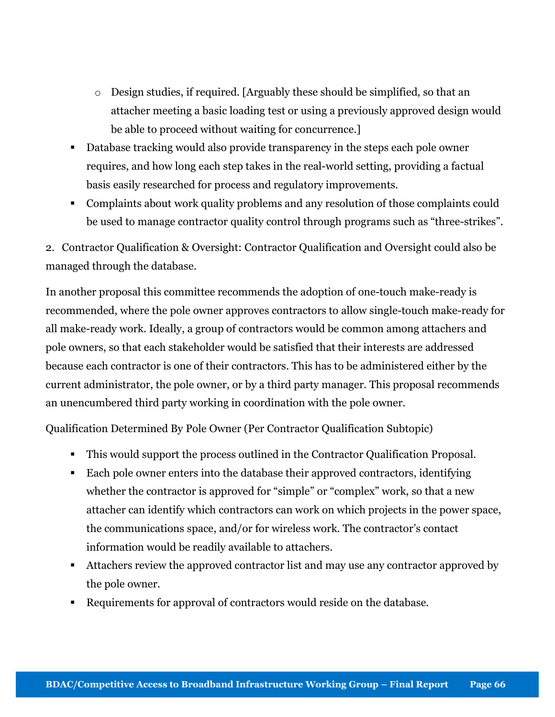- o Design studies, if required. [Arguably these should be simplified, so that an attacher meeting a basic loading test or using a previously approved design would be able to proceed without waiting for concurrence.]
- Database tracking would also provide transparency in the steps each pole owner requires, and how long each step takes in the real-world setting, providing a factual basis easily researched for process and regulatory improvements.
- Complaints about work quality problems and any resolution of those complaints could be used to manage contractor quality control through programs such as "three-strikes".

2. Contractor Qualification & Oversight: Contractor Qualification and Oversight could also be managed through the database.

In another proposal this committee recommends the adoption of one-touch make-ready is recommended, where the pole owner approves contractors to allow single-touch make-ready for all make-ready work. Ideally, a group of contractors would be common among attachers and pole owners, so that each stakeholder would be satisfied that their interests are addressed because each contractor is one of their contractors. This has to be administered either by the current administrator, the pole owner, or by a third party manager. This proposal recommends an unencumbered third party working in coordination with the pole owner.

Qualification Determined By Pole Owner (Per Contractor Qualification Subtopic)

- This would support the process outlined in the Contractor Qualification Proposal.
- Each pole owner enters into the database their approved contractors, identifying whether the contractor is approved for "simple" or "complex" work, so that a new attacher can identify which contractors can work on which projects in the power space, the communications space, and/or for wireless work. The contractor's contact information would be readily available to attachers.
- Attachers review the approved contractor list and may use any contractor approved by the pole owner.
- Requirements for approval of contractors would reside on the database.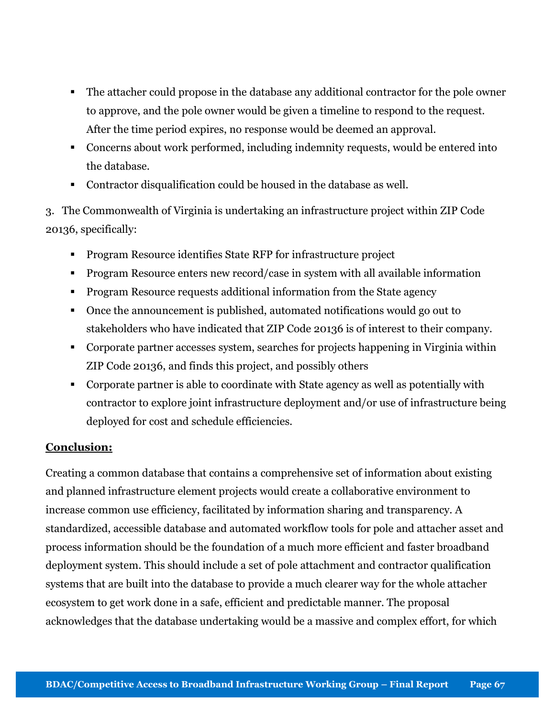- The attacher could propose in the database any additional contractor for the pole owner to approve, and the pole owner would be given a timeline to respond to the request. After the time period expires, no response would be deemed an approval.
- Concerns about work performed, including indemnity requests, would be entered into the database.
- Contractor disqualification could be housed in the database as well.

3. The Commonwealth of Virginia is undertaking an infrastructure project within ZIP Code 20136, specifically:

- Program Resource identifies State RFP for infrastructure project
- Program Resource enters new record/case in system with all available information
- **Program Resource requests additional information from the State agency**
- Once the announcement is published, automated notifications would go out to stakeholders who have indicated that ZIP Code 20136 is of interest to their company.
- Corporate partner accesses system, searches for projects happening in Virginia within ZIP Code 20136, and finds this project, and possibly others
- Corporate partner is able to coordinate with State agency as well as potentially with contractor to explore joint infrastructure deployment and/or use of infrastructure being deployed for cost and schedule efficiencies.

# Conclusion:

Creating a common database that contains a comprehensive set of information about existing and planned infrastructure element projects would create a collaborative environment to increase common use efficiency, facilitated by information sharing and transparency. A standardized, accessible database and automated workflow tools for pole and attacher asset and process information should be the foundation of a much more efficient and faster broadband deployment system. This should include a set of pole attachment and contractor qualification systems that are built into the database to provide a much clearer way for the whole attacher ecosystem to get work done in a safe, efficient and predictable manner. The proposal acknowledges that the database undertaking would be a massive and complex effort, for which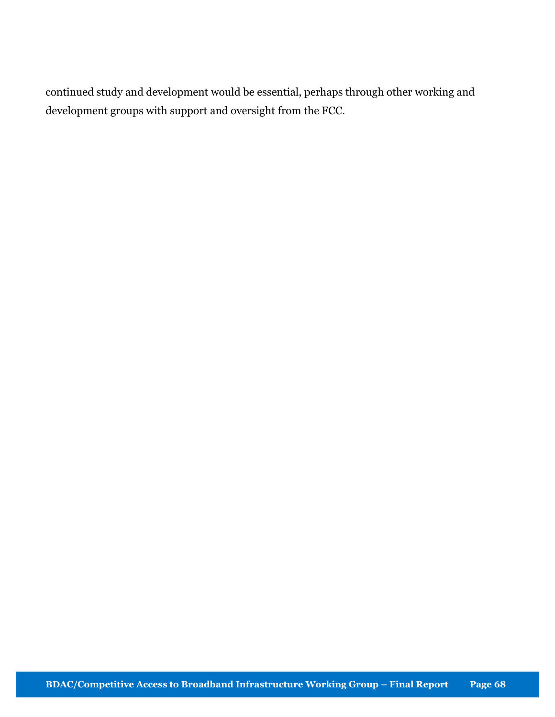continued study and development would be essential, perhaps through other working and development groups with support and oversight from the FCC.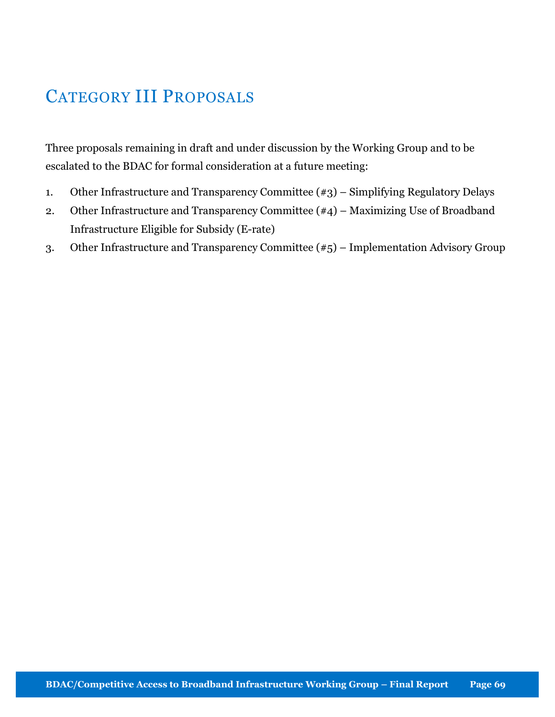# CATEGORY III PROPOSALS

Three proposals remaining in draft and under discussion by the Working Group and to be escalated to the BDAC for formal consideration at a future meeting:

- 1. Other Infrastructure and Transparency Committee (#3) Simplifying Regulatory Delays
- 2. Other Infrastructure and Transparency Committee (#4) Maximizing Use of Broadband Infrastructure Eligible for Subsidy (E-rate)
- 3. Other Infrastructure and Transparency Committee (#5) Implementation Advisory Group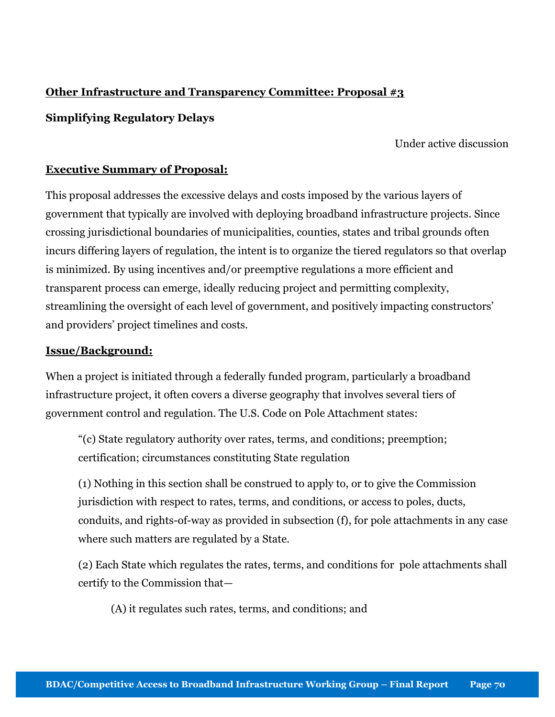# Other Infrastructure and Transparency Committee: Proposal #3

# Simplifying Regulatory Delays

### Under active discussion

### Executive Summary of Proposal:

This proposal addresses the excessive delays and costs imposed by the various layers of government that typically are involved with deploying broadband infrastructure projects. Since crossing jurisdictional boundaries of municipalities, counties, states and tribal grounds often incurs differing layers of regulation, the intent is to organize the tiered regulators so that overlap is minimized. By using incentives and/or preemptive regulations a more efficient and transparent process can emerge, ideally reducing project and permitting complexity, streamlining the oversight of each level of government, and positively impacting constructors' and providers' project timelines and costs.

### Issue/Background:

When a project is initiated through a federally funded program, particularly a broadband infrastructure project, it often covers a diverse geography that involves several tiers of government control and regulation. The U.S. Code on Pole Attachment states:

"(c) State regulatory authority over rates, terms, and conditions; preemption; certification; circumstances constituting State regulation

(1) Nothing in this section shall be construed to apply to, or to give the Commission jurisdiction with respect to rates, terms, and conditions, or access to poles, ducts, conduits, and rights-of-way as provided in subsection (f), for pole attachments in any case where such matters are regulated by a State.

(2) Each State which regulates the rates, terms, and conditions for pole attachments shall certify to the Commission that—

(A) it regulates such rates, terms, and conditions; and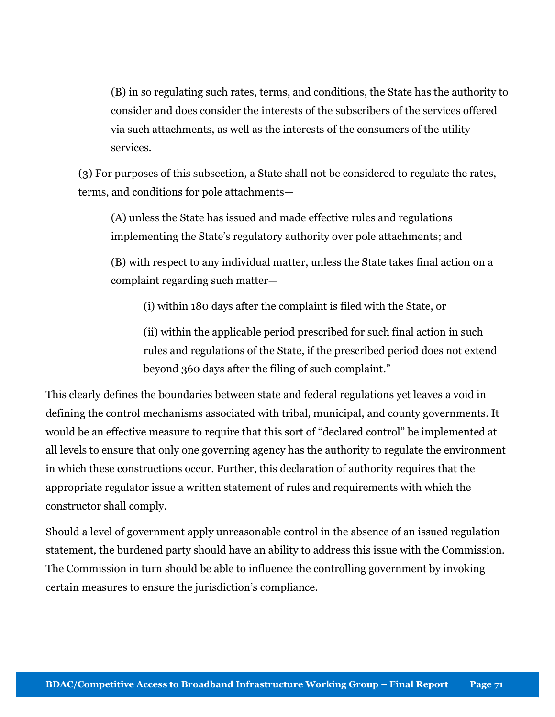(B) in so regulating such rates, terms, and conditions, the State has the authority to consider and does consider the interests of the subscribers of the services offered via such attachments, as well as the interests of the consumers of the utility services.

(3) For purposes of this subsection, a State shall not be considered to regulate the rates, terms, and conditions for pole attachments—

(A) unless the State has issued and made effective rules and regulations implementing the State's regulatory authority over pole attachments; and

(B) with respect to any individual matter, unless the State takes final action on a complaint regarding such matter—

(i) within 180 days after the complaint is filed with the State, or

(ii) within the applicable period prescribed for such final action in such rules and regulations of the State, if the prescribed period does not extend beyond 360 days after the filing of such complaint."

This clearly defines the boundaries between state and federal regulations yet leaves a void in defining the control mechanisms associated with tribal, municipal, and county governments. It would be an effective measure to require that this sort of "declared control" be implemented at all levels to ensure that only one governing agency has the authority to regulate the environment in which these constructions occur. Further, this declaration of authority requires that the appropriate regulator issue a written statement of rules and requirements with which the constructor shall comply.

Should a level of government apply unreasonable control in the absence of an issued regulation statement, the burdened party should have an ability to address this issue with the Commission. The Commission in turn should be able to influence the controlling government by invoking certain measures to ensure the jurisdiction's compliance.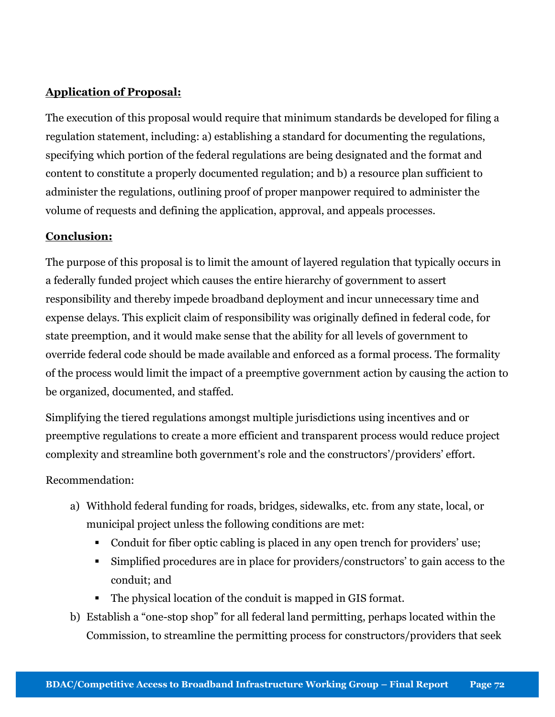# Application of Proposal:

The execution of this proposal would require that minimum standards be developed for filing a regulation statement, including: a) establishing a standard for documenting the regulations, specifying which portion of the federal regulations are being designated and the format and content to constitute a properly documented regulation; and b) a resource plan sufficient to administer the regulations, outlining proof of proper manpower required to administer the volume of requests and defining the application, approval, and appeals processes.

# Conclusion:

The purpose of this proposal is to limit the amount of layered regulation that typically occurs in a federally funded project which causes the entire hierarchy of government to assert responsibility and thereby impede broadband deployment and incur unnecessary time and expense delays. This explicit claim of responsibility was originally defined in federal code, for state preemption, and it would make sense that the ability for all levels of government to override federal code should be made available and enforced as a formal process. The formality of the process would limit the impact of a preemptive government action by causing the action to be organized, documented, and staffed.

Simplifying the tiered regulations amongst multiple jurisdictions using incentives and or preemptive regulations to create a more efficient and transparent process would reduce project complexity and streamline both government's role and the constructors'/providers' effort.

Recommendation:

- a) Withhold federal funding for roads, bridges, sidewalks, etc. from any state, local, or municipal project unless the following conditions are met:
	- Conduit for fiber optic cabling is placed in any open trench for providers' use;
	- Simplified procedures are in place for providers/constructors' to gain access to the conduit; and
	- The physical location of the conduit is mapped in GIS format.
- b) Establish a "one-stop shop" for all federal land permitting, perhaps located within the Commission, to streamline the permitting process for constructors/providers that seek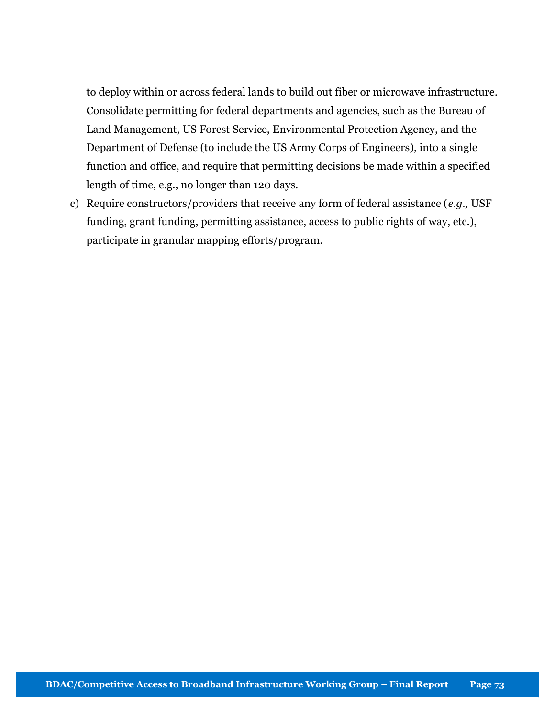to deploy within or across federal lands to build out fiber or microwave infrastructure. Consolidate permitting for federal departments and agencies, such as the Bureau of Land Management, US Forest Service, Environmental Protection Agency, and the Department of Defense (to include the US Army Corps of Engineers), into a single function and office, and require that permitting decisions be made within a specified length of time, e.g., no longer than 120 days.

c) Require constructors/providers that receive any form of federal assistance  $(e.g., \text{USF})$ funding, grant funding, permitting assistance, access to public rights of way, etc.), participate in granular mapping efforts/program.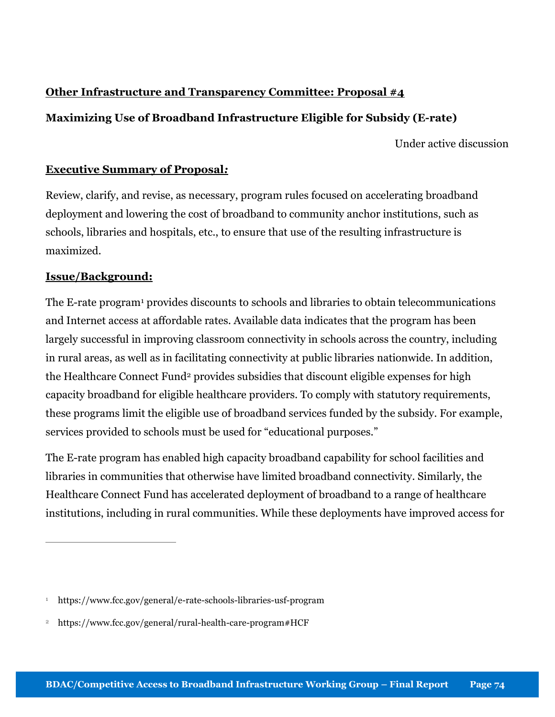# Other Infrastructure and Transparency Committee: Proposal #4

# Maximizing Use of Broadband Infrastructure Eligible for Subsidy (E-rate)

Under active discussion

## Executive Summary of Proposal:

Review, clarify, and revise, as necessary, program rules focused on accelerating broadband deployment and lowering the cost of broadband to community anchor institutions, such as schools, libraries and hospitals, etc., to ensure that use of the resulting infrastructure is maximized.

## Issue/Background:

 $\overline{a}$ 

The E-rate program<sup>1</sup> provides discounts to schools and libraries to obtain telecommunications and Internet access at affordable rates. Available data indicates that the program has been largely successful in improving classroom connectivity in schools across the country, including in rural areas, as well as in facilitating connectivity at public libraries nationwide. In addition, the Healthcare Connect Fund<sup>2</sup> provides subsidies that discount eligible expenses for high capacity broadband for eligible healthcare providers. To comply with statutory requirements, these programs limit the eligible use of broadband services funded by the subsidy. For example, services provided to schools must be used for "educational purposes."

The E-rate program has enabled high capacity broadband capability for school facilities and libraries in communities that otherwise have limited broadband connectivity. Similarly, the Healthcare Connect Fund has accelerated deployment of broadband to a range of healthcare institutions, including in rural communities. While these deployments have improved access for

<sup>1</sup> https://www.fcc.gov/general/e-rate-schools-libraries-usf-program

<sup>2</sup> https://www.fcc.gov/general/rural-health-care-program#HCF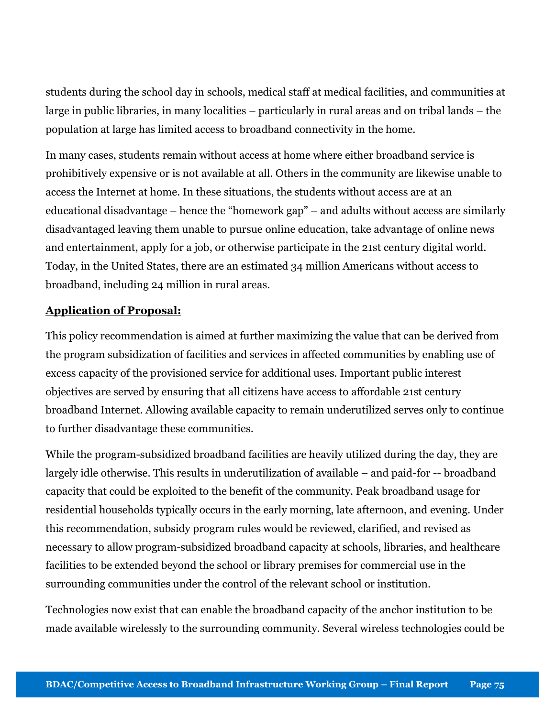students during the school day in schools, medical staff at medical facilities, and communities at large in public libraries, in many localities – particularly in rural areas and on tribal lands – the population at large has limited access to broadband connectivity in the home.

In many cases, students remain without access at home where either broadband service is prohibitively expensive or is not available at all. Others in the community are likewise unable to access the Internet at home. In these situations, the students without access are at an educational disadvantage – hence the "homework gap" – and adults without access are similarly disadvantaged leaving them unable to pursue online education, take advantage of online news and entertainment, apply for a job, or otherwise participate in the 21st century digital world. Today, in the United States, there are an estimated 34 million Americans without access to broadband, including 24 million in rural areas.

## Application of Proposal:

This policy recommendation is aimed at further maximizing the value that can be derived from the program subsidization of facilities and services in affected communities by enabling use of excess capacity of the provisioned service for additional uses. Important public interest objectives are served by ensuring that all citizens have access to affordable 21st century broadband Internet. Allowing available capacity to remain underutilized serves only to continue to further disadvantage these communities.

While the program-subsidized broadband facilities are heavily utilized during the day, they are largely idle otherwise. This results in underutilization of available – and paid-for -- broadband capacity that could be exploited to the benefit of the community. Peak broadband usage for residential households typically occurs in the early morning, late afternoon, and evening. Under this recommendation, subsidy program rules would be reviewed, clarified, and revised as necessary to allow program-subsidized broadband capacity at schools, libraries, and healthcare facilities to be extended beyond the school or library premises for commercial use in the surrounding communities under the control of the relevant school or institution.

Technologies now exist that can enable the broadband capacity of the anchor institution to be made available wirelessly to the surrounding community. Several wireless technologies could be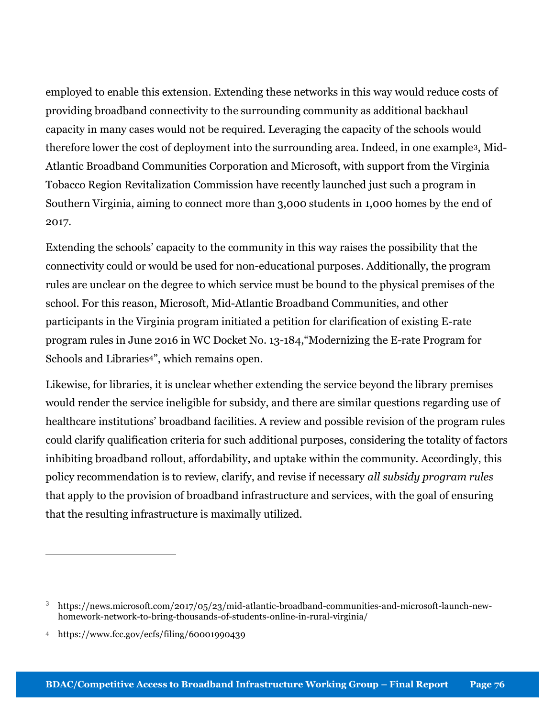employed to enable this extension. Extending these networks in this way would reduce costs of providing broadband connectivity to the surrounding community as additional backhaul capacity in many cases would not be required. Leveraging the capacity of the schools would therefore lower the cost of deployment into the surrounding area. Indeed, in one example3, Mid-Atlantic Broadband Communities Corporation and Microsoft, with support from the Virginia Tobacco Region Revitalization Commission have recently launched just such a program in Southern Virginia, aiming to connect more than 3,000 students in 1,000 homes by the end of 2017.

Extending the schools' capacity to the community in this way raises the possibility that the connectivity could or would be used for non-educational purposes. Additionally, the program rules are unclear on the degree to which service must be bound to the physical premises of the school. For this reason, Microsoft, Mid-Atlantic Broadband Communities, and other participants in the Virginia program initiated a petition for clarification of existing E-rate program rules in June 2016 in WC Docket No. 13-184,"Modernizing the E-rate Program for Schools and Libraries<sup>4"</sup>, which remains open.

Likewise, for libraries, it is unclear whether extending the service beyond the library premises would render the service ineligible for subsidy, and there are similar questions regarding use of healthcare institutions' broadband facilities. A review and possible revision of the program rules could clarify qualification criteria for such additional purposes, considering the totality of factors inhibiting broadband rollout, affordability, and uptake within the community. Accordingly, this policy recommendation is to review, clarify, and revise if necessary all subsidy program rules that apply to the provision of broadband infrastructure and services, with the goal of ensuring that the resulting infrastructure is maximally utilized.

 $\overline{a}$ 

<sup>3</sup> https://news.microsoft.com/2017/05/23/mid-atlantic-broadband-communities-and-microsoft-launch-newhomework-network-to-bring-thousands-of-students-online-in-rural-virginia/

<sup>4</sup> https://www.fcc.gov/ecfs/filing/60001990439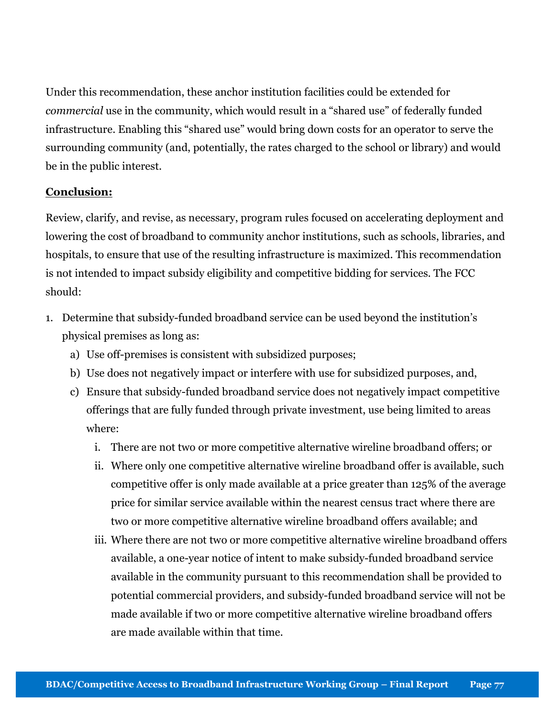Under this recommendation, these anchor institution facilities could be extended for commercial use in the community, which would result in a "shared use" of federally funded infrastructure. Enabling this "shared use" would bring down costs for an operator to serve the surrounding community (and, potentially, the rates charged to the school or library) and would be in the public interest.

## Conclusion:

Review, clarify, and revise, as necessary, program rules focused on accelerating deployment and lowering the cost of broadband to community anchor institutions, such as schools, libraries, and hospitals, to ensure that use of the resulting infrastructure is maximized. This recommendation is not intended to impact subsidy eligibility and competitive bidding for services. The FCC should:

- 1. Determine that subsidy-funded broadband service can be used beyond the institution's physical premises as long as:
	- a) Use off-premises is consistent with subsidized purposes;
	- b) Use does not negatively impact or interfere with use for subsidized purposes, and,
	- c) Ensure that subsidy-funded broadband service does not negatively impact competitive offerings that are fully funded through private investment, use being limited to areas where:
		- i. There are not two or more competitive alternative wireline broadband offers; or
		- ii. Where only one competitive alternative wireline broadband offer is available, such competitive offer is only made available at a price greater than 125% of the average price for similar service available within the nearest census tract where there are two or more competitive alternative wireline broadband offers available; and
		- iii. Where there are not two or more competitive alternative wireline broadband offers available, a one-year notice of intent to make subsidy-funded broadband service available in the community pursuant to this recommendation shall be provided to potential commercial providers, and subsidy-funded broadband service will not be made available if two or more competitive alternative wireline broadband offers are made available within that time.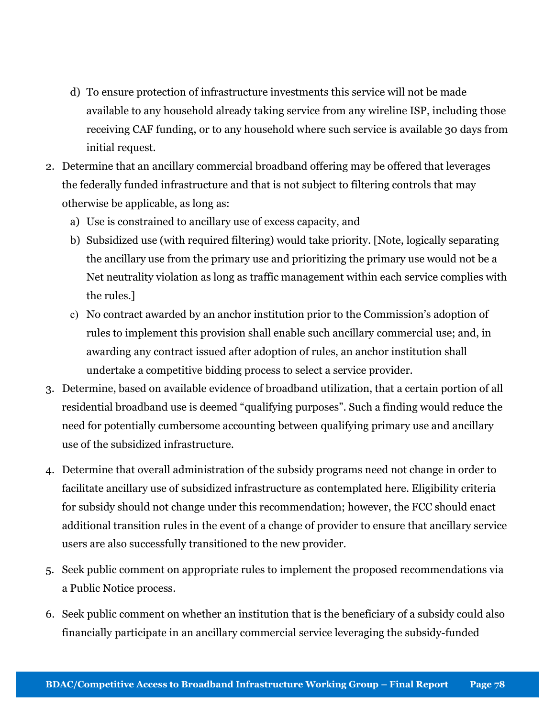- d) To ensure protection of infrastructure investments this service will not be made available to any household already taking service from any wireline ISP, including those receiving CAF funding, or to any household where such service is available 30 days from initial request.
- 2. Determine that an ancillary commercial broadband offering may be offered that leverages the federally funded infrastructure and that is not subject to filtering controls that may otherwise be applicable, as long as:
	- a) Use is constrained to ancillary use of excess capacity, and
	- b) Subsidized use (with required filtering) would take priority. [Note, logically separating the ancillary use from the primary use and prioritizing the primary use would not be a Net neutrality violation as long as traffic management within each service complies with the rules.]
	- c) No contract awarded by an anchor institution prior to the Commission's adoption of rules to implement this provision shall enable such ancillary commercial use; and, in awarding any contract issued after adoption of rules, an anchor institution shall undertake a competitive bidding process to select a service provider.
- 3. Determine, based on available evidence of broadband utilization, that a certain portion of all residential broadband use is deemed "qualifying purposes". Such a finding would reduce the need for potentially cumbersome accounting between qualifying primary use and ancillary use of the subsidized infrastructure.
- 4. Determine that overall administration of the subsidy programs need not change in order to facilitate ancillary use of subsidized infrastructure as contemplated here. Eligibility criteria for subsidy should not change under this recommendation; however, the FCC should enact additional transition rules in the event of a change of provider to ensure that ancillary service users are also successfully transitioned to the new provider.
- 5. Seek public comment on appropriate rules to implement the proposed recommendations via a Public Notice process.
- 6. Seek public comment on whether an institution that is the beneficiary of a subsidy could also financially participate in an ancillary commercial service leveraging the subsidy-funded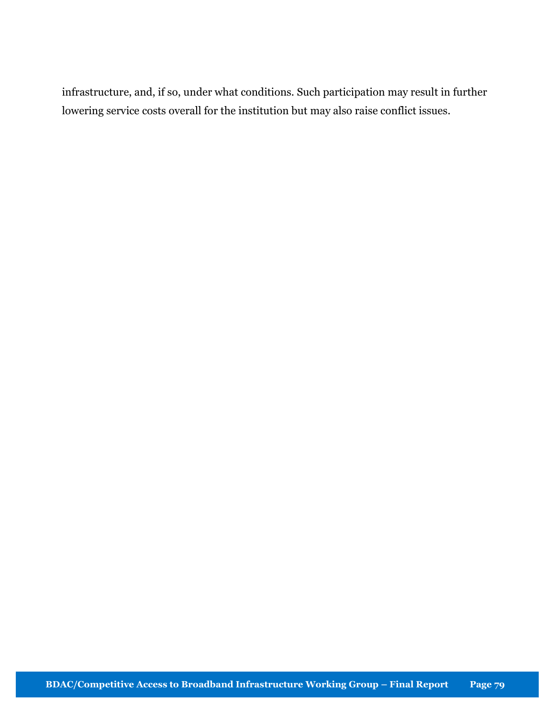infrastructure, and, if so, under what conditions. Such participation may result in further lowering service costs overall for the institution but may also raise conflict issues.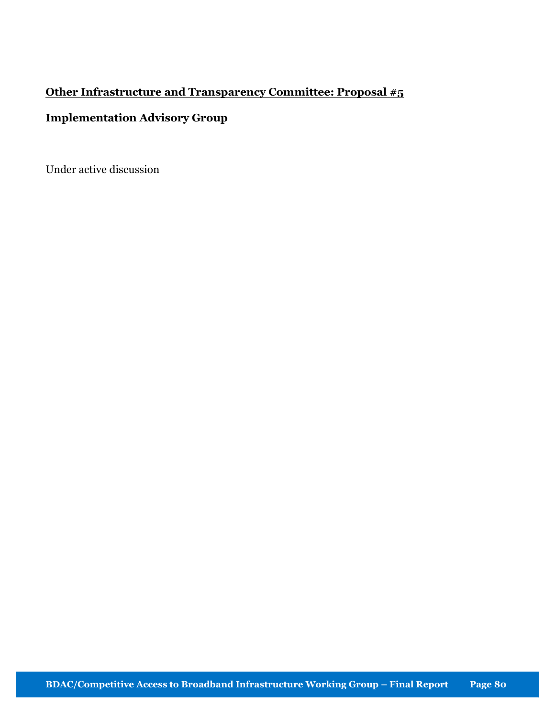# Other Infrastructure and Transparency Committee: Proposal #5

# Implementation Advisory Group

Under active discussion